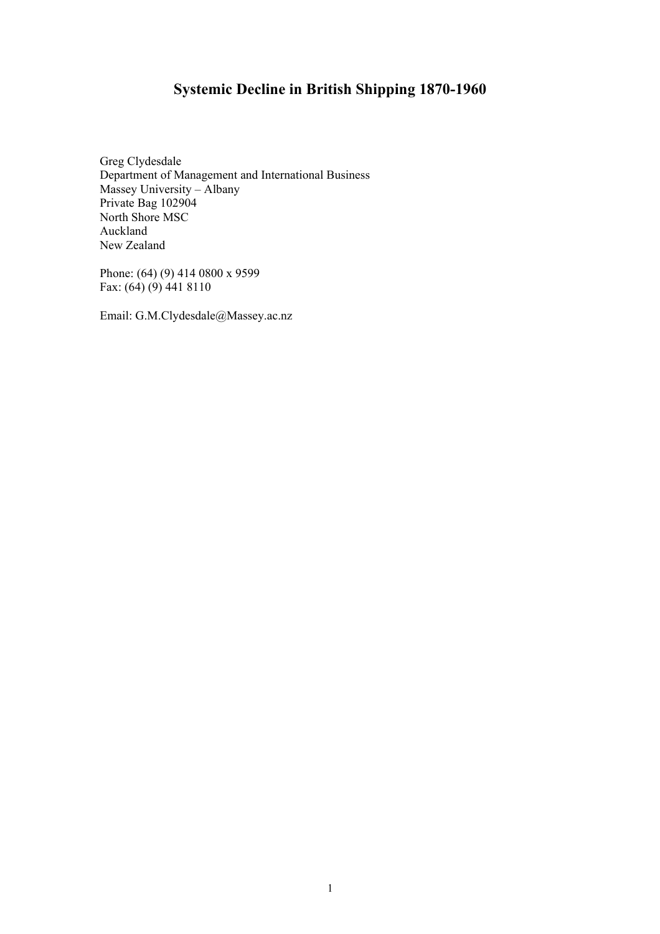# **Systemic Decline in British Shipping 1870-1960**

Greg Clydesdale Department of Management and International Business Massey University – Albany Private Bag 102904 North Shore MSC Auckland New Zealand

Phone: (64) (9) 414 0800 x 9599 Fax:  $(64)(9)4418110$ 

Email: G.M.Clydesdale@Massey.ac.nz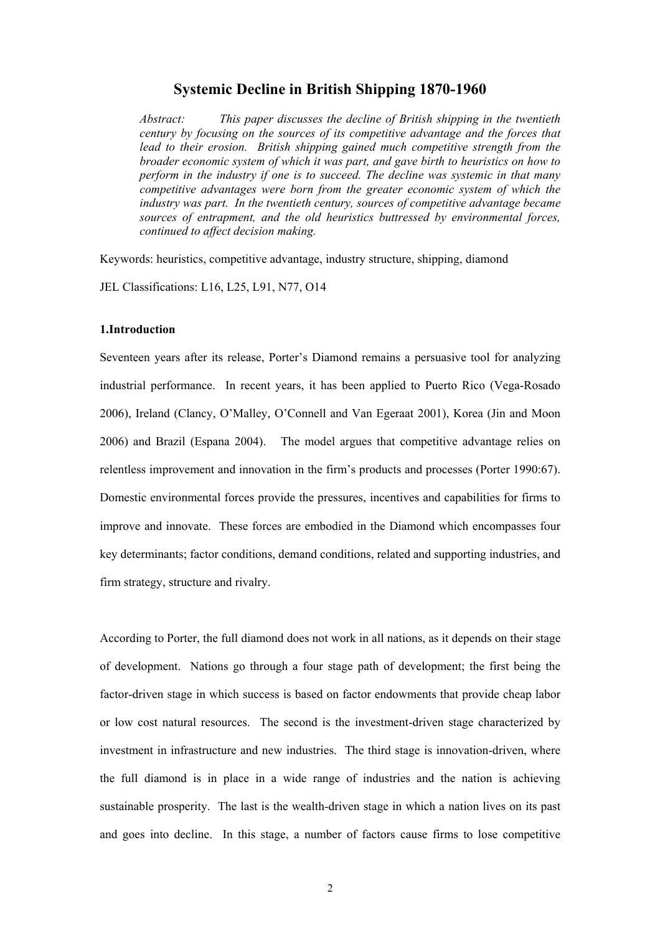# **Systemic Decline in British Shipping 1870-1960**

*Abstract: This paper discusses the decline of British shipping in the twentieth century by focusing on the sources of its competitive advantage and the forces that lead to their erosion. British shipping gained much competitive strength from the broader economic system of which it was part, and gave birth to heuristics on how to perform in the industry if one is to succeed. The decline was systemic in that many competitive advantages were born from the greater economic system of which the industry was part. In the twentieth century, sources of competitive advantage became sources of entrapment, and the old heuristics buttressed by environmental forces, continued to affect decision making.* 

Keywords: heuristics, competitive advantage, industry structure, shipping, diamond JEL Classifications: L16, L25, L91, N77, O14

#### **1.Introduction**

Seventeen years after its release, Porter's Diamond remains a persuasive tool for analyzing industrial performance. In recent years, it has been applied to Puerto Rico (Vega-Rosado 2006), Ireland (Clancy, O'Malley, O'Connell and Van Egeraat 2001), Korea (Jin and Moon 2006) and Brazil (Espana 2004). The model argues that competitive advantage relies on relentless improvement and innovation in the firm's products and processes (Porter 1990:67). Domestic environmental forces provide the pressures, incentives and capabilities for firms to improve and innovate. These forces are embodied in the Diamond which encompasses four key determinants; factor conditions, demand conditions, related and supporting industries, and firm strategy, structure and rivalry.

According to Porter, the full diamond does not work in all nations, as it depends on their stage of development. Nations go through a four stage path of development; the first being the factor-driven stage in which success is based on factor endowments that provide cheap labor or low cost natural resources. The second is the investment-driven stage characterized by investment in infrastructure and new industries. The third stage is innovation-driven, where the full diamond is in place in a wide range of industries and the nation is achieving sustainable prosperity. The last is the wealth-driven stage in which a nation lives on its past and goes into decline. In this stage, a number of factors cause firms to lose competitive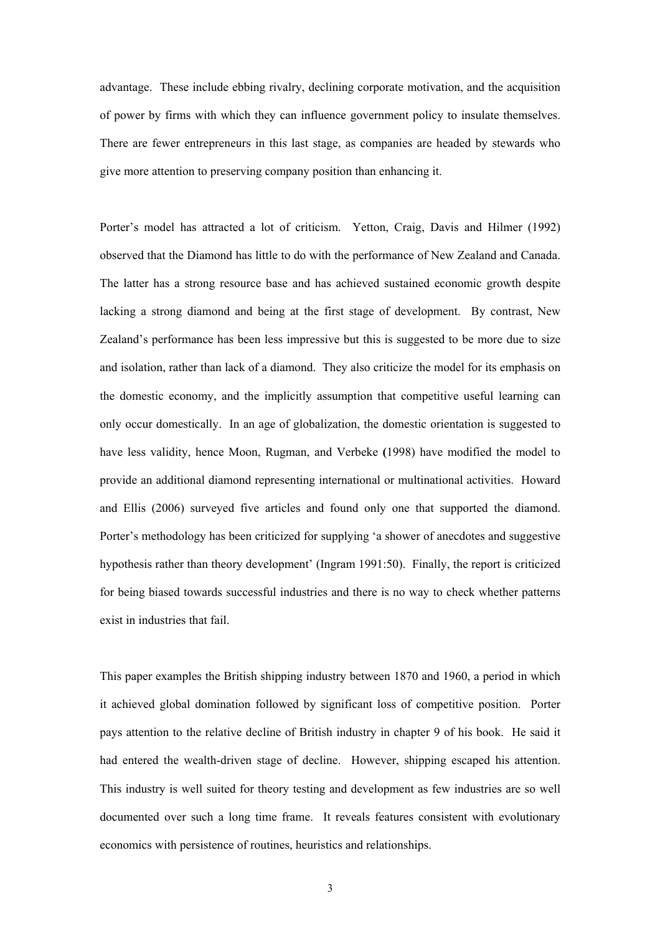advantage. These include ebbing rivalry, declining corporate motivation, and the acquisition of power by firms with which they can influence government policy to insulate themselves. There are fewer entrepreneurs in this last stage, as companies are headed by stewards who give more attention to preserving company position than enhancing it.

Porter's model has attracted a lot of criticism. Yetton, Craig, Davis and Hilmer (1992) observed that the Diamond has little to do with the performance of New Zealand and Canada. The latter has a strong resource base and has achieved sustained economic growth despite lacking a strong diamond and being at the first stage of development. By contrast, New Zealand's performance has been less impressive but this is suggested to be more due to size and isolation, rather than lack of a diamond. They also criticize the model for its emphasis on the domestic economy, and the implicitly assumption that competitive useful learning can only occur domestically. In an age of globalization, the domestic orientation is suggested to have less validity, hence Moon, Rugman, and Verbeke **(**1998) have modified the model to provide an additional diamond representing international or multinational activities. Howard and Ellis (2006) surveyed five articles and found only one that supported the diamond. Porter's methodology has been criticized for supplying 'a shower of anecdotes and suggestive hypothesis rather than theory development' (Ingram 1991:50). Finally, the report is criticized for being biased towards successful industries and there is no way to check whether patterns exist in industries that fail.

This paper examples the British shipping industry between 1870 and 1960, a period in which it achieved global domination followed by significant loss of competitive position. Porter pays attention to the relative decline of British industry in chapter 9 of his book. He said it had entered the wealth-driven stage of decline. However, shipping escaped his attention. This industry is well suited for theory testing and development as few industries are so well documented over such a long time frame. It reveals features consistent with evolutionary economics with persistence of routines, heuristics and relationships.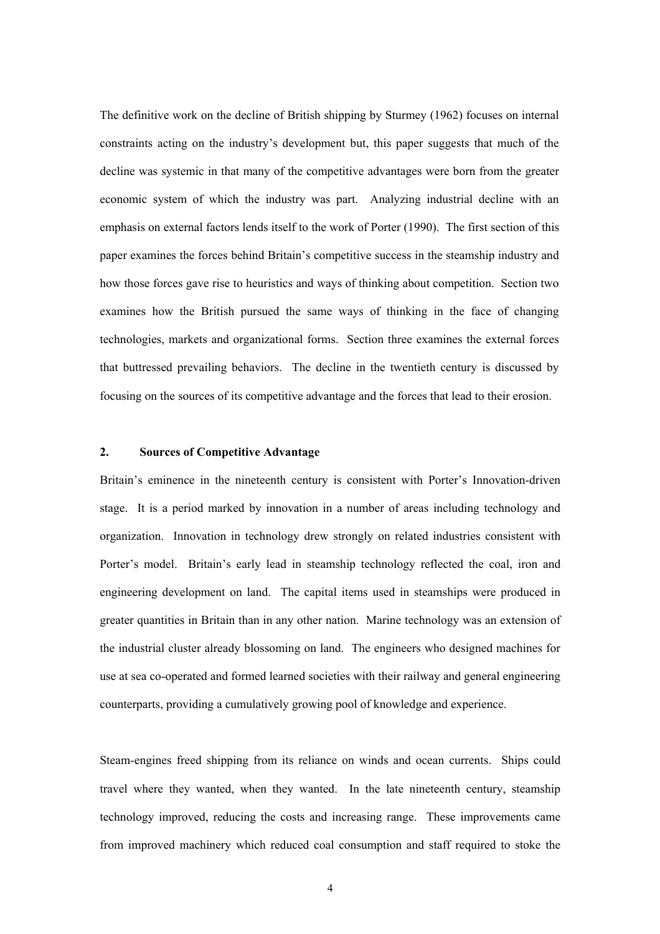The definitive work on the decline of British shipping by Sturmey (1962) focuses on internal constraints acting on the industry's development but, this paper suggests that much of the decline was systemic in that many of the competitive advantages were born from the greater economic system of which the industry was part. Analyzing industrial decline with an emphasis on external factors lends itself to the work of Porter (1990). The first section of this paper examines the forces behind Britain's competitive success in the steamship industry and how those forces gave rise to heuristics and ways of thinking about competition. Section two examines how the British pursued the same ways of thinking in the face of changing technologies, markets and organizational forms. Section three examines the external forces that buttressed prevailing behaviors. The decline in the twentieth century is discussed by focusing on the sources of its competitive advantage and the forces that lead to their erosion.

## **2. Sources of Competitive Advantage**

Britain's eminence in the nineteenth century is consistent with Porter's Innovation-driven stage. It is a period marked by innovation in a number of areas including technology and organization. Innovation in technology drew strongly on related industries consistent with Porter's model. Britain's early lead in steamship technology reflected the coal, iron and engineering development on land. The capital items used in steamships were produced in greater quantities in Britain than in any other nation. Marine technology was an extension of the industrial cluster already blossoming on land. The engineers who designed machines for use at sea co-operated and formed learned societies with their railway and general engineering counterparts, providing a cumulatively growing pool of knowledge and experience.

Steam-engines freed shipping from its reliance on winds and ocean currents. Ships could travel where they wanted, when they wanted. In the late nineteenth century, steamship technology improved, reducing the costs and increasing range. These improvements came from improved machinery which reduced coal consumption and staff required to stoke the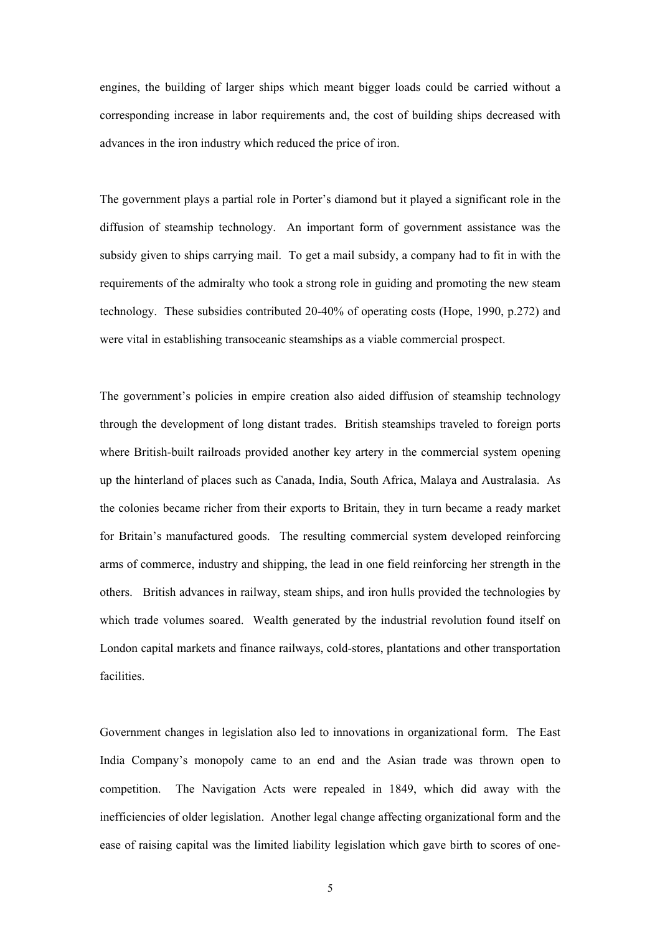engines, the building of larger ships which meant bigger loads could be carried without a corresponding increase in labor requirements and, the cost of building ships decreased with advances in the iron industry which reduced the price of iron.

The government plays a partial role in Porter's diamond but it played a significant role in the diffusion of steamship technology. An important form of government assistance was the subsidy given to ships carrying mail. To get a mail subsidy, a company had to fit in with the requirements of the admiralty who took a strong role in guiding and promoting the new steam technology. These subsidies contributed 20-40% of operating costs (Hope, 1990, p.272) and were vital in establishing transoceanic steamships as a viable commercial prospect.

The government's policies in empire creation also aided diffusion of steamship technology through the development of long distant trades. British steamships traveled to foreign ports where British-built railroads provided another key artery in the commercial system opening up the hinterland of places such as Canada, India, South Africa, Malaya and Australasia. As the colonies became richer from their exports to Britain, they in turn became a ready market for Britain's manufactured goods. The resulting commercial system developed reinforcing arms of commerce, industry and shipping, the lead in one field reinforcing her strength in the others. British advances in railway, steam ships, and iron hulls provided the technologies by which trade volumes soared. Wealth generated by the industrial revolution found itself on London capital markets and finance railways, cold-stores, plantations and other transportation facilities.

Government changes in legislation also led to innovations in organizational form. The East India Company's monopoly came to an end and the Asian trade was thrown open to competition. The Navigation Acts were repealed in 1849, which did away with the inefficiencies of older legislation. Another legal change affecting organizational form and the ease of raising capital was the limited liability legislation which gave birth to scores of one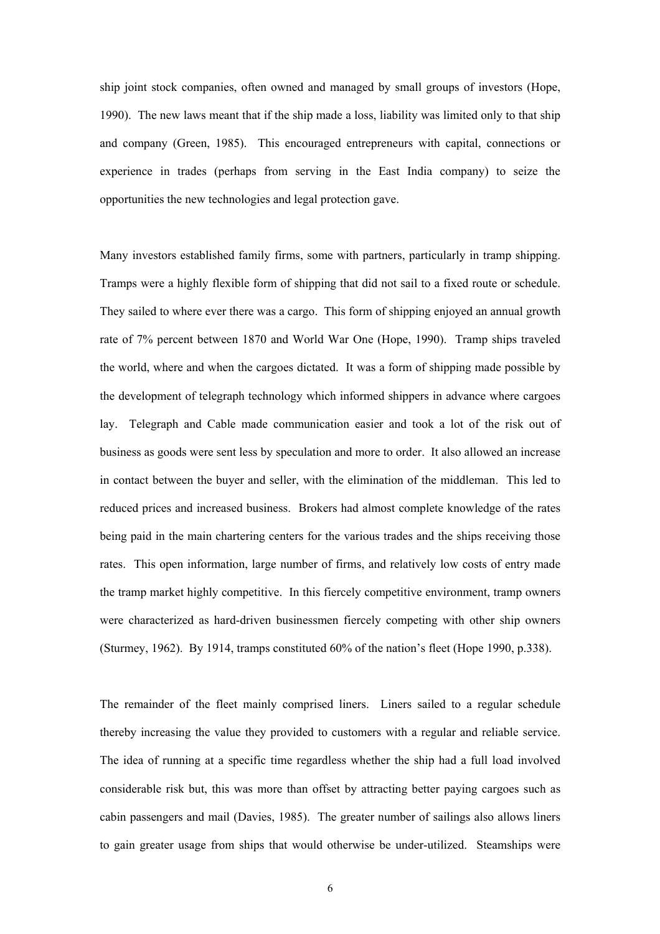ship joint stock companies, often owned and managed by small groups of investors (Hope, 1990). The new laws meant that if the ship made a loss, liability was limited only to that ship and company (Green, 1985). This encouraged entrepreneurs with capital, connections or experience in trades (perhaps from serving in the East India company) to seize the opportunities the new technologies and legal protection gave.

Many investors established family firms, some with partners, particularly in tramp shipping. Tramps were a highly flexible form of shipping that did not sail to a fixed route or schedule. They sailed to where ever there was a cargo. This form of shipping enjoyed an annual growth rate of 7% percent between 1870 and World War One (Hope, 1990). Tramp ships traveled the world, where and when the cargoes dictated. It was a form of shipping made possible by the development of telegraph technology which informed shippers in advance where cargoes lay. Telegraph and Cable made communication easier and took a lot of the risk out of business as goods were sent less by speculation and more to order. It also allowed an increase in contact between the buyer and seller, with the elimination of the middleman. This led to reduced prices and increased business. Brokers had almost complete knowledge of the rates being paid in the main chartering centers for the various trades and the ships receiving those rates. This open information, large number of firms, and relatively low costs of entry made the tramp market highly competitive. In this fiercely competitive environment, tramp owners were characterized as hard-driven businessmen fiercely competing with other ship owners (Sturmey, 1962). By 1914, tramps constituted 60% of the nation's fleet (Hope 1990, p.338).

The remainder of the fleet mainly comprised liners. Liners sailed to a regular schedule thereby increasing the value they provided to customers with a regular and reliable service. The idea of running at a specific time regardless whether the ship had a full load involved considerable risk but, this was more than offset by attracting better paying cargoes such as cabin passengers and mail (Davies, 1985). The greater number of sailings also allows liners to gain greater usage from ships that would otherwise be under-utilized. Steamships were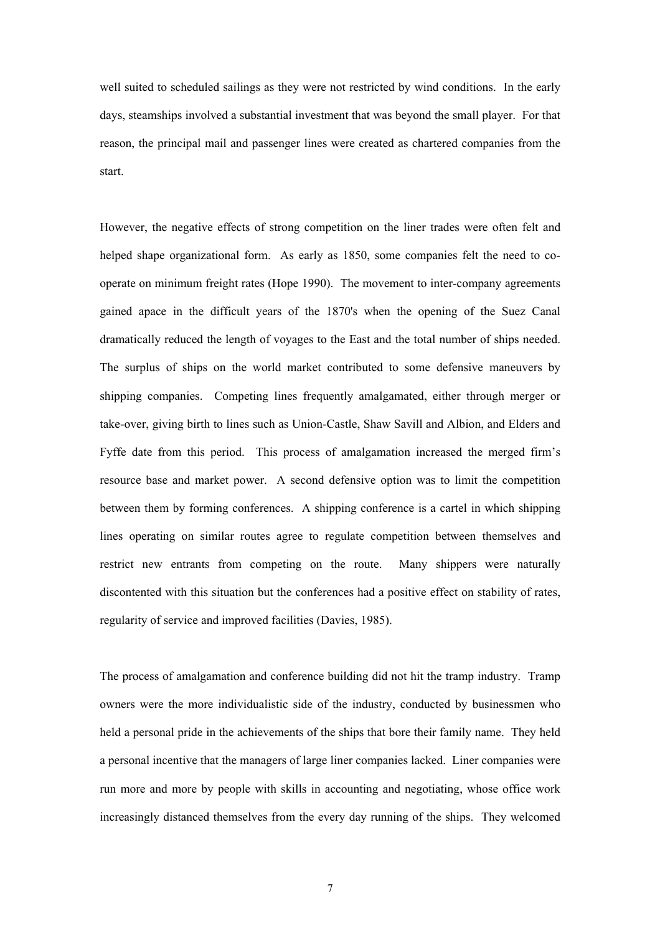well suited to scheduled sailings as they were not restricted by wind conditions. In the early days, steamships involved a substantial investment that was beyond the small player. For that reason, the principal mail and passenger lines were created as chartered companies from the start.

However, the negative effects of strong competition on the liner trades were often felt and helped shape organizational form. As early as 1850, some companies felt the need to cooperate on minimum freight rates (Hope 1990). The movement to inter-company agreements gained apace in the difficult years of the 1870's when the opening of the Suez Canal dramatically reduced the length of voyages to the East and the total number of ships needed. The surplus of ships on the world market contributed to some defensive maneuvers by shipping companies. Competing lines frequently amalgamated, either through merger or take-over, giving birth to lines such as Union-Castle, Shaw Savill and Albion, and Elders and Fyffe date from this period. This process of amalgamation increased the merged firm's resource base and market power. A second defensive option was to limit the competition between them by forming conferences. A shipping conference is a cartel in which shipping lines operating on similar routes agree to regulate competition between themselves and restrict new entrants from competing on the route. Many shippers were naturally discontented with this situation but the conferences had a positive effect on stability of rates, regularity of service and improved facilities (Davies, 1985).

The process of amalgamation and conference building did not hit the tramp industry. Tramp owners were the more individualistic side of the industry, conducted by businessmen who held a personal pride in the achievements of the ships that bore their family name. They held a personal incentive that the managers of large liner companies lacked. Liner companies were run more and more by people with skills in accounting and negotiating, whose office work increasingly distanced themselves from the every day running of the ships. They welcomed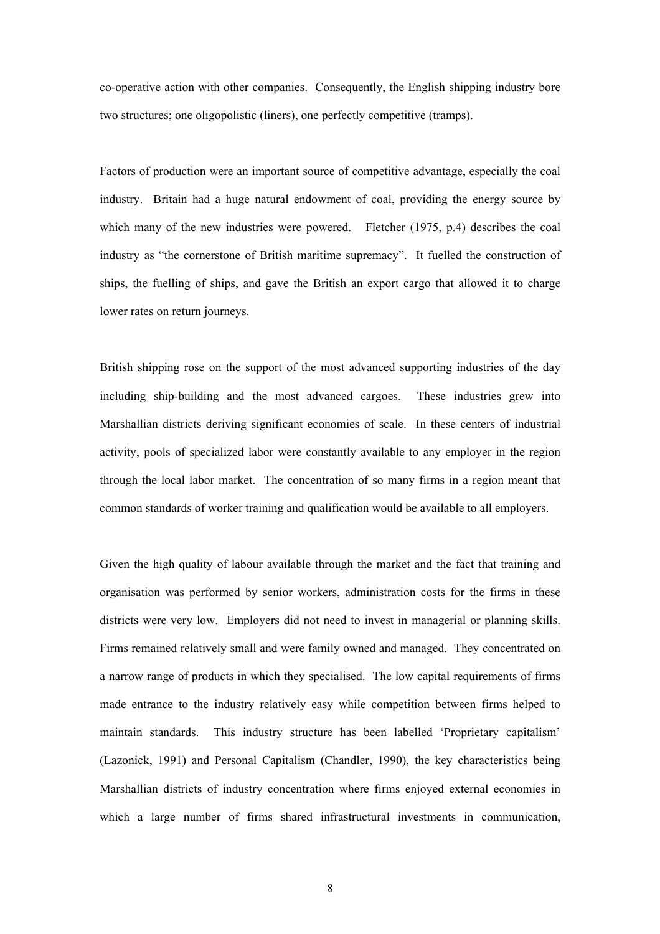co-operative action with other companies. Consequently, the English shipping industry bore two structures; one oligopolistic (liners), one perfectly competitive (tramps).

Factors of production were an important source of competitive advantage, especially the coal industry. Britain had a huge natural endowment of coal, providing the energy source by which many of the new industries were powered. Fletcher (1975, p.4) describes the coal industry as "the cornerstone of British maritime supremacy". It fuelled the construction of ships, the fuelling of ships, and gave the British an export cargo that allowed it to charge lower rates on return journeys.

British shipping rose on the support of the most advanced supporting industries of the day including ship-building and the most advanced cargoes. These industries grew into Marshallian districts deriving significant economies of scale. In these centers of industrial activity, pools of specialized labor were constantly available to any employer in the region through the local labor market. The concentration of so many firms in a region meant that common standards of worker training and qualification would be available to all employers.

Given the high quality of labour available through the market and the fact that training and organisation was performed by senior workers, administration costs for the firms in these districts were very low. Employers did not need to invest in managerial or planning skills. Firms remained relatively small and were family owned and managed. They concentrated on a narrow range of products in which they specialised. The low capital requirements of firms made entrance to the industry relatively easy while competition between firms helped to maintain standards. This industry structure has been labelled 'Proprietary capitalism' (Lazonick, 1991) and Personal Capitalism (Chandler, 1990), the key characteristics being Marshallian districts of industry concentration where firms enjoyed external economies in which a large number of firms shared infrastructural investments in communication,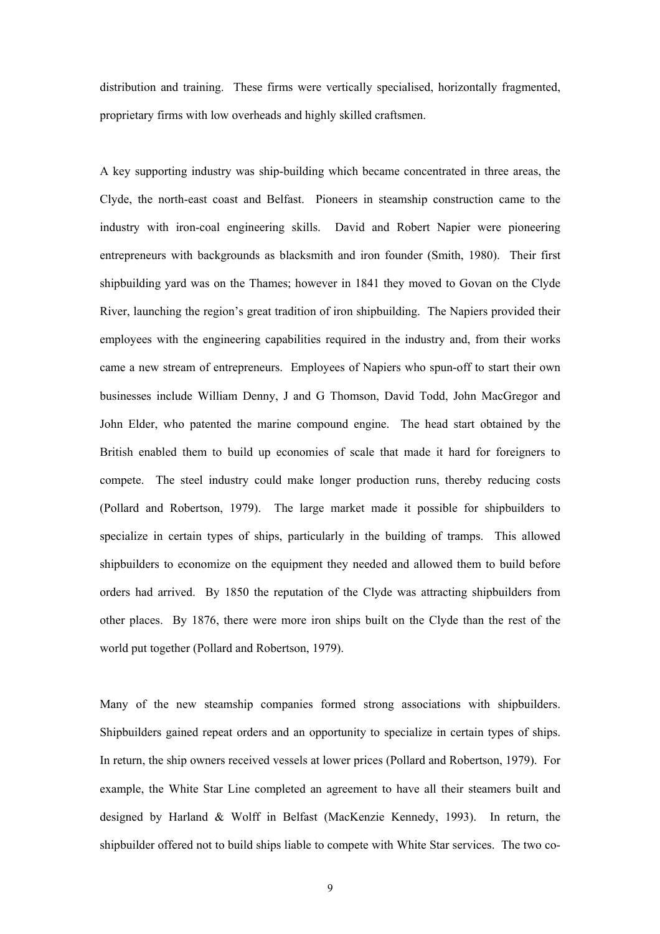distribution and training. These firms were vertically specialised, horizontally fragmented, proprietary firms with low overheads and highly skilled craftsmen.

A key supporting industry was ship-building which became concentrated in three areas, the Clyde, the north-east coast and Belfast. Pioneers in steamship construction came to the industry with iron-coal engineering skills. David and Robert Napier were pioneering entrepreneurs with backgrounds as blacksmith and iron founder (Smith, 1980). Their first shipbuilding yard was on the Thames; however in 1841 they moved to Govan on the Clyde River, launching the region's great tradition of iron shipbuilding. The Napiers provided their employees with the engineering capabilities required in the industry and, from their works came a new stream of entrepreneurs. Employees of Napiers who spun-off to start their own businesses include William Denny, J and G Thomson, David Todd, John MacGregor and John Elder, who patented the marine compound engine. The head start obtained by the British enabled them to build up economies of scale that made it hard for foreigners to compete. The steel industry could make longer production runs, thereby reducing costs (Pollard and Robertson, 1979). The large market made it possible for shipbuilders to specialize in certain types of ships, particularly in the building of tramps. This allowed shipbuilders to economize on the equipment they needed and allowed them to build before orders had arrived. By 1850 the reputation of the Clyde was attracting shipbuilders from other places. By 1876, there were more iron ships built on the Clyde than the rest of the world put together (Pollard and Robertson, 1979).

Many of the new steamship companies formed strong associations with shipbuilders. Shipbuilders gained repeat orders and an opportunity to specialize in certain types of ships. In return, the ship owners received vessels at lower prices (Pollard and Robertson, 1979). For example, the White Star Line completed an agreement to have all their steamers built and designed by Harland & Wolff in Belfast (MacKenzie Kennedy, 1993). In return, the shipbuilder offered not to build ships liable to compete with White Star services. The two co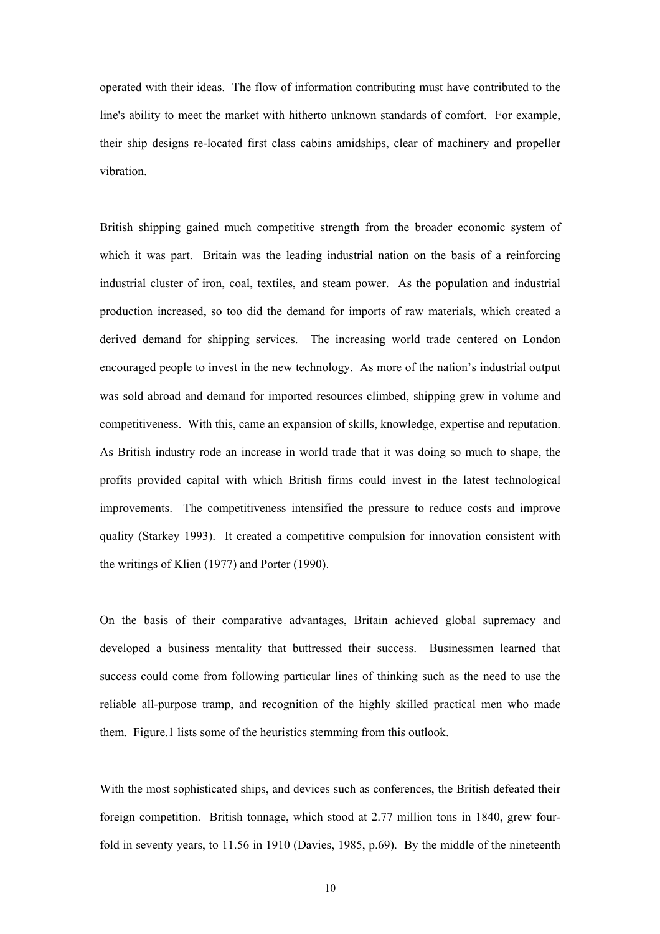operated with their ideas. The flow of information contributing must have contributed to the line's ability to meet the market with hitherto unknown standards of comfort. For example, their ship designs re-located first class cabins amidships, clear of machinery and propeller vibration.

British shipping gained much competitive strength from the broader economic system of which it was part. Britain was the leading industrial nation on the basis of a reinforcing industrial cluster of iron, coal, textiles, and steam power. As the population and industrial production increased, so too did the demand for imports of raw materials, which created a derived demand for shipping services. The increasing world trade centered on London encouraged people to invest in the new technology. As more of the nation's industrial output was sold abroad and demand for imported resources climbed, shipping grew in volume and competitiveness. With this, came an expansion of skills, knowledge, expertise and reputation. As British industry rode an increase in world trade that it was doing so much to shape, the profits provided capital with which British firms could invest in the latest technological improvements. The competitiveness intensified the pressure to reduce costs and improve quality (Starkey 1993). It created a competitive compulsion for innovation consistent with the writings of Klien (1977) and Porter (1990).

On the basis of their comparative advantages, Britain achieved global supremacy and developed a business mentality that buttressed their success. Businessmen learned that success could come from following particular lines of thinking such as the need to use the reliable all-purpose tramp, and recognition of the highly skilled practical men who made them. Figure.1 lists some of the heuristics stemming from this outlook.

With the most sophisticated ships, and devices such as conferences, the British defeated their foreign competition. British tonnage, which stood at 2.77 million tons in 1840, grew fourfold in seventy years, to 11.56 in 1910 (Davies, 1985, p.69). By the middle of the nineteenth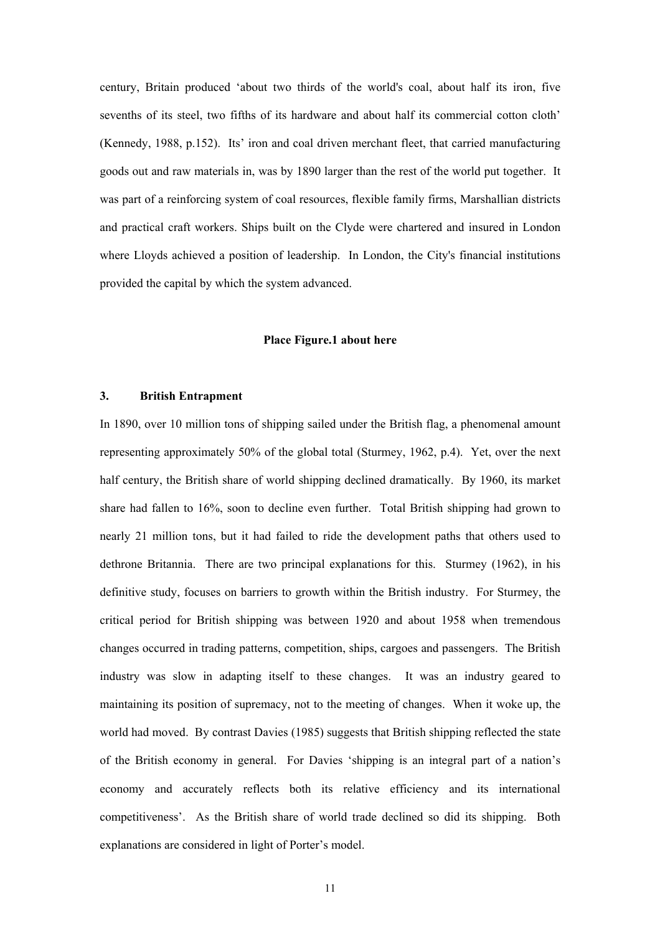century, Britain produced 'about two thirds of the world's coal, about half its iron, five sevenths of its steel, two fifths of its hardware and about half its commercial cotton cloth' (Kennedy, 1988, p.152). Its' iron and coal driven merchant fleet, that carried manufacturing goods out and raw materials in, was by 1890 larger than the rest of the world put together. It was part of a reinforcing system of coal resources, flexible family firms, Marshallian districts and practical craft workers. Ships built on the Clyde were chartered and insured in London where Lloyds achieved a position of leadership. In London, the City's financial institutions provided the capital by which the system advanced.

#### **Place Figure.1 about here**

# **3. British Entrapment**

In 1890, over 10 million tons of shipping sailed under the British flag, a phenomenal amount representing approximately 50% of the global total (Sturmey, 1962, p.4). Yet, over the next half century, the British share of world shipping declined dramatically. By 1960, its market share had fallen to 16%, soon to decline even further. Total British shipping had grown to nearly 21 million tons, but it had failed to ride the development paths that others used to dethrone Britannia. There are two principal explanations for this. Sturmey (1962), in his definitive study, focuses on barriers to growth within the British industry. For Sturmey, the critical period for British shipping was between 1920 and about 1958 when tremendous changes occurred in trading patterns, competition, ships, cargoes and passengers. The British industry was slow in adapting itself to these changes. It was an industry geared to maintaining its position of supremacy, not to the meeting of changes. When it woke up, the world had moved. By contrast Davies (1985) suggests that British shipping reflected the state of the British economy in general. For Davies 'shipping is an integral part of a nation's economy and accurately reflects both its relative efficiency and its international competitiveness'. As the British share of world trade declined so did its shipping. Both explanations are considered in light of Porter's model.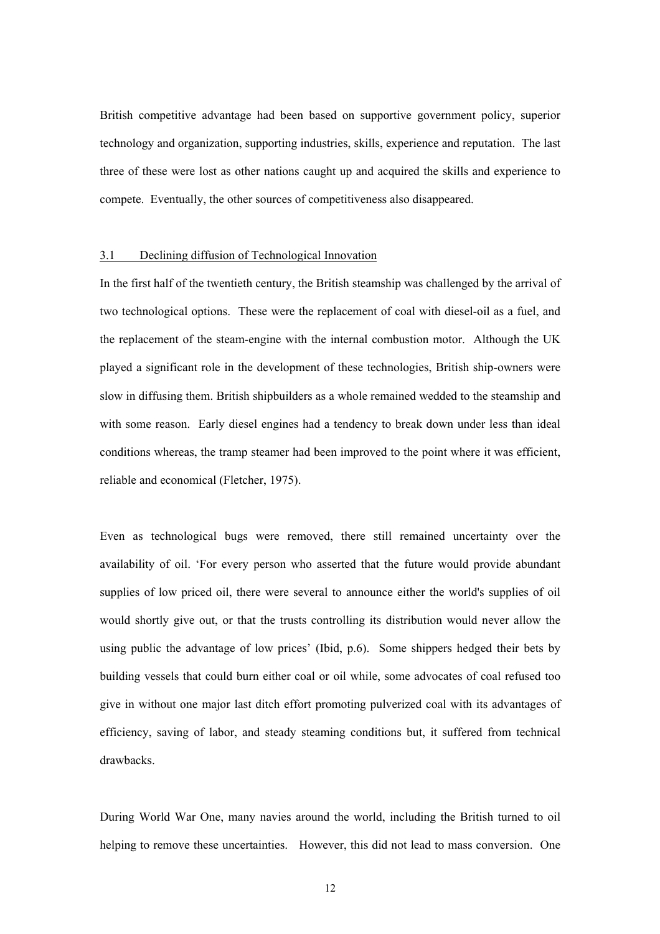British competitive advantage had been based on supportive government policy, superior technology and organization, supporting industries, skills, experience and reputation. The last three of these were lost as other nations caught up and acquired the skills and experience to compete. Eventually, the other sources of competitiveness also disappeared.

## 3.1 Declining diffusion of Technological Innovation

In the first half of the twentieth century, the British steamship was challenged by the arrival of two technological options. These were the replacement of coal with diesel-oil as a fuel, and the replacement of the steam-engine with the internal combustion motor. Although the UK played a significant role in the development of these technologies, British ship-owners were slow in diffusing them. British shipbuilders as a whole remained wedded to the steamship and with some reason. Early diesel engines had a tendency to break down under less than ideal conditions whereas, the tramp steamer had been improved to the point where it was efficient, reliable and economical (Fletcher, 1975).

Even as technological bugs were removed, there still remained uncertainty over the availability of oil. 'For every person who asserted that the future would provide abundant supplies of low priced oil, there were several to announce either the world's supplies of oil would shortly give out, or that the trusts controlling its distribution would never allow the using public the advantage of low prices' (Ibid, p.6). Some shippers hedged their bets by building vessels that could burn either coal or oil while, some advocates of coal refused too give in without one major last ditch effort promoting pulverized coal with its advantages of efficiency, saving of labor, and steady steaming conditions but, it suffered from technical drawbacks.

During World War One, many navies around the world, including the British turned to oil helping to remove these uncertainties. However, this did not lead to mass conversion. One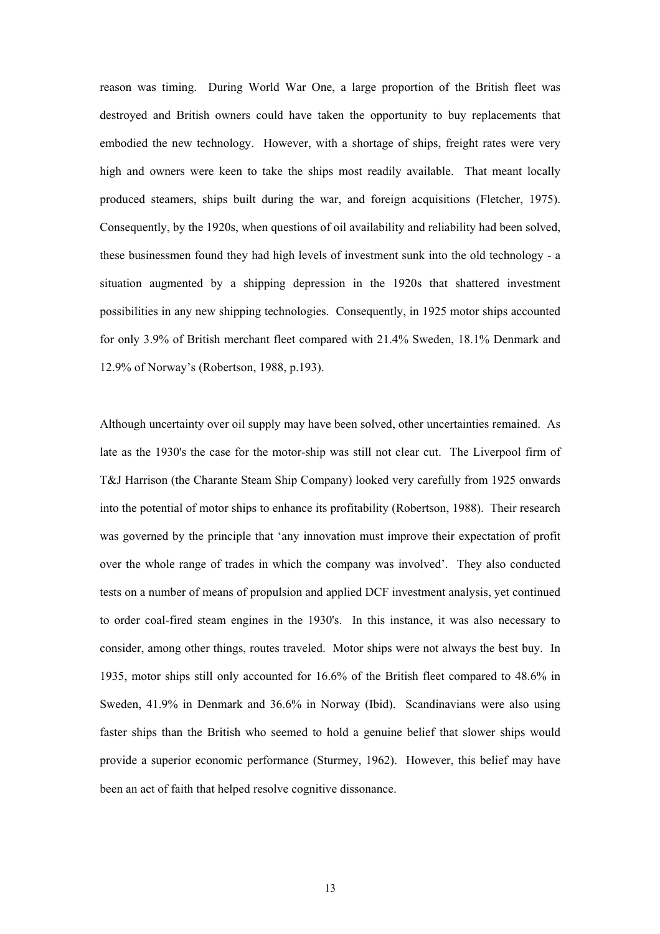reason was timing. During World War One, a large proportion of the British fleet was destroyed and British owners could have taken the opportunity to buy replacements that embodied the new technology. However, with a shortage of ships, freight rates were very high and owners were keen to take the ships most readily available. That meant locally produced steamers, ships built during the war, and foreign acquisitions (Fletcher, 1975). Consequently, by the 1920s, when questions of oil availability and reliability had been solved, these businessmen found they had high levels of investment sunk into the old technology - a situation augmented by a shipping depression in the 1920s that shattered investment possibilities in any new shipping technologies. Consequently, in 1925 motor ships accounted for only 3.9% of British merchant fleet compared with 21.4% Sweden, 18.1% Denmark and 12.9% of Norway's (Robertson, 1988, p.193).

Although uncertainty over oil supply may have been solved, other uncertainties remained. As late as the 1930's the case for the motor-ship was still not clear cut. The Liverpool firm of T&J Harrison (the Charante Steam Ship Company) looked very carefully from 1925 onwards into the potential of motor ships to enhance its profitability (Robertson, 1988). Their research was governed by the principle that 'any innovation must improve their expectation of profit over the whole range of trades in which the company was involved'. They also conducted tests on a number of means of propulsion and applied DCF investment analysis, yet continued to order coal-fired steam engines in the 1930's. In this instance, it was also necessary to consider, among other things, routes traveled. Motor ships were not always the best buy. In 1935, motor ships still only accounted for 16.6% of the British fleet compared to 48.6% in Sweden, 41.9% in Denmark and 36.6% in Norway (Ibid). Scandinavians were also using faster ships than the British who seemed to hold a genuine belief that slower ships would provide a superior economic performance (Sturmey, 1962). However, this belief may have been an act of faith that helped resolve cognitive dissonance.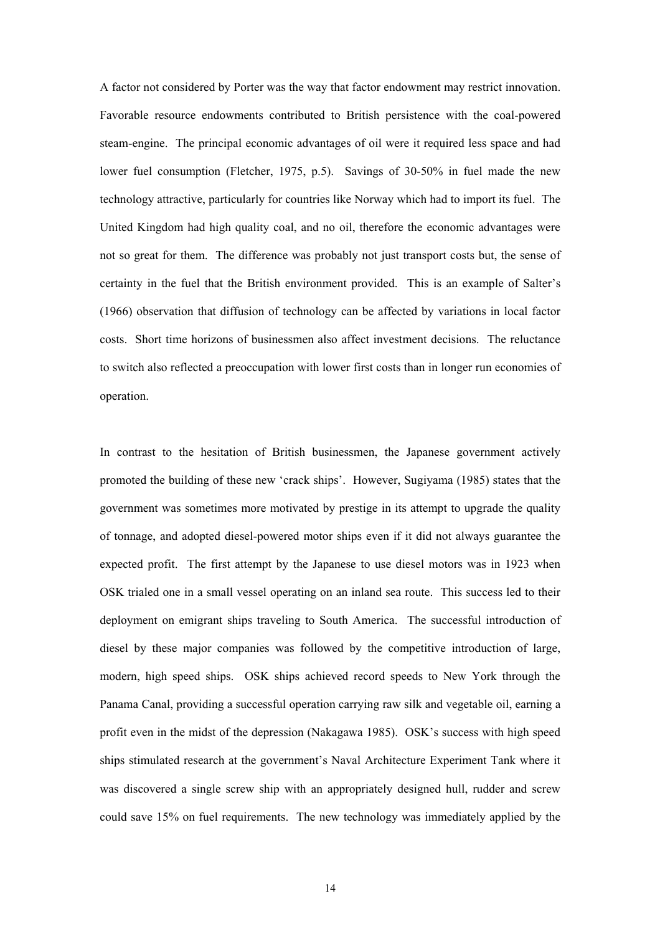A factor not considered by Porter was the way that factor endowment may restrict innovation. Favorable resource endowments contributed to British persistence with the coal-powered steam-engine. The principal economic advantages of oil were it required less space and had lower fuel consumption (Fletcher, 1975, p.5). Savings of 30-50% in fuel made the new technology attractive, particularly for countries like Norway which had to import its fuel. The United Kingdom had high quality coal, and no oil, therefore the economic advantages were not so great for them. The difference was probably not just transport costs but, the sense of certainty in the fuel that the British environment provided. This is an example of Salter's (1966) observation that diffusion of technology can be affected by variations in local factor costs. Short time horizons of businessmen also affect investment decisions. The reluctance to switch also reflected a preoccupation with lower first costs than in longer run economies of operation.

In contrast to the hesitation of British businessmen, the Japanese government actively promoted the building of these new 'crack ships'. However, Sugiyama (1985) states that the government was sometimes more motivated by prestige in its attempt to upgrade the quality of tonnage, and adopted diesel-powered motor ships even if it did not always guarantee the expected profit. The first attempt by the Japanese to use diesel motors was in 1923 when OSK trialed one in a small vessel operating on an inland sea route. This success led to their deployment on emigrant ships traveling to South America. The successful introduction of diesel by these major companies was followed by the competitive introduction of large, modern, high speed ships. OSK ships achieved record speeds to New York through the Panama Canal, providing a successful operation carrying raw silk and vegetable oil, earning a profit even in the midst of the depression (Nakagawa 1985). OSK's success with high speed ships stimulated research at the government's Naval Architecture Experiment Tank where it was discovered a single screw ship with an appropriately designed hull, rudder and screw could save 15% on fuel requirements. The new technology was immediately applied by the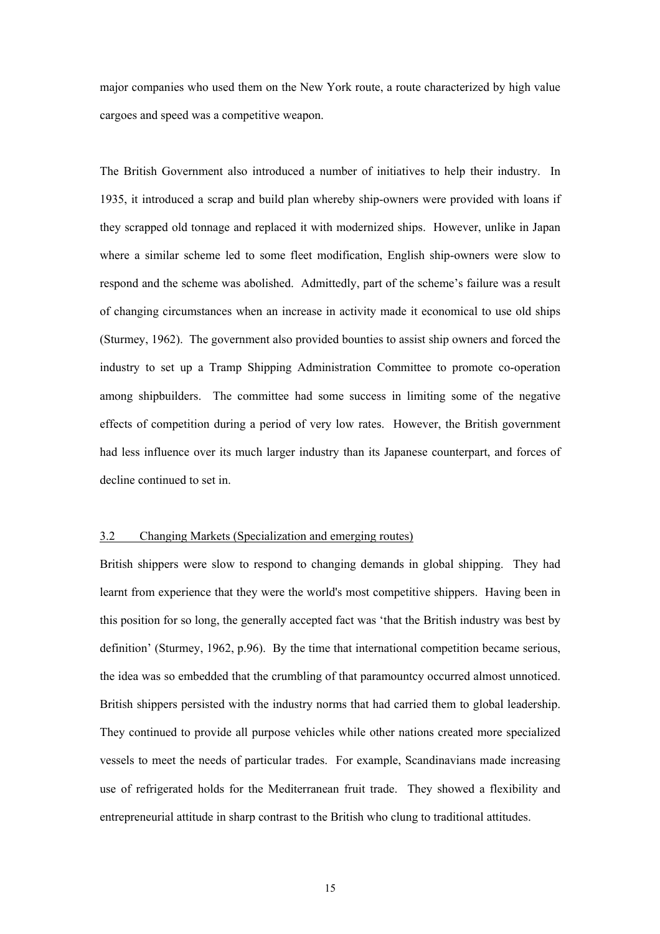major companies who used them on the New York route, a route characterized by high value cargoes and speed was a competitive weapon.

The British Government also introduced a number of initiatives to help their industry. In 1935, it introduced a scrap and build plan whereby ship-owners were provided with loans if they scrapped old tonnage and replaced it with modernized ships. However, unlike in Japan where a similar scheme led to some fleet modification, English ship-owners were slow to respond and the scheme was abolished. Admittedly, part of the scheme's failure was a result of changing circumstances when an increase in activity made it economical to use old ships (Sturmey, 1962). The government also provided bounties to assist ship owners and forced the industry to set up a Tramp Shipping Administration Committee to promote co-operation among shipbuilders. The committee had some success in limiting some of the negative effects of competition during a period of very low rates. However, the British government had less influence over its much larger industry than its Japanese counterpart, and forces of decline continued to set in.

## 3.2 Changing Markets (Specialization and emerging routes)

British shippers were slow to respond to changing demands in global shipping. They had learnt from experience that they were the world's most competitive shippers. Having been in this position for so long, the generally accepted fact was 'that the British industry was best by definition' (Sturmey, 1962, p.96). By the time that international competition became serious, the idea was so embedded that the crumbling of that paramountcy occurred almost unnoticed. British shippers persisted with the industry norms that had carried them to global leadership. They continued to provide all purpose vehicles while other nations created more specialized vessels to meet the needs of particular trades. For example, Scandinavians made increasing use of refrigerated holds for the Mediterranean fruit trade. They showed a flexibility and entrepreneurial attitude in sharp contrast to the British who clung to traditional attitudes.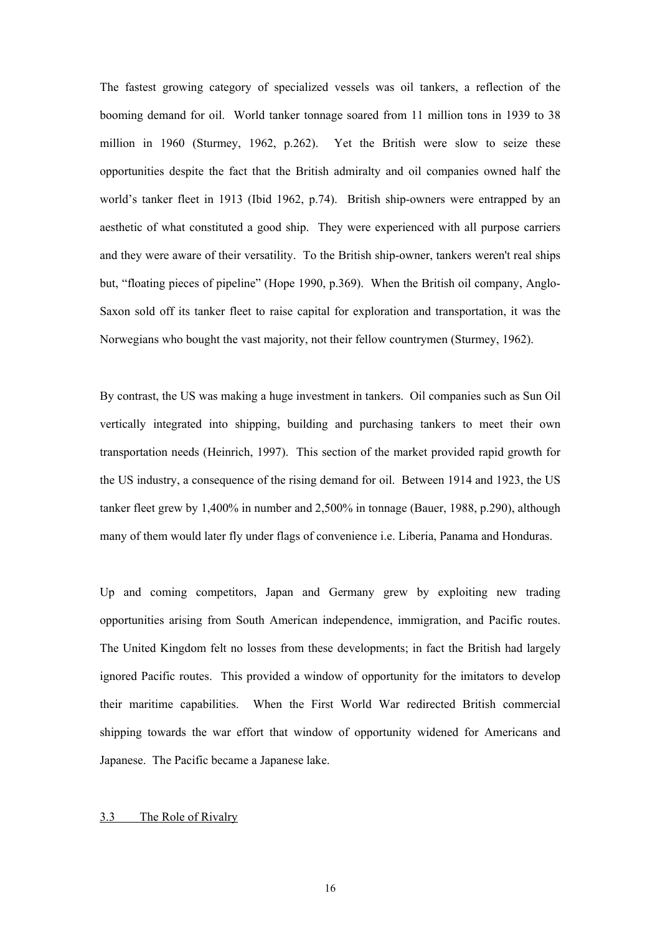The fastest growing category of specialized vessels was oil tankers, a reflection of the booming demand for oil. World tanker tonnage soared from 11 million tons in 1939 to 38 million in 1960 (Sturmey, 1962, p.262). Yet the British were slow to seize these opportunities despite the fact that the British admiralty and oil companies owned half the world's tanker fleet in 1913 (Ibid 1962, p.74). British ship-owners were entrapped by an aesthetic of what constituted a good ship. They were experienced with all purpose carriers and they were aware of their versatility. To the British ship-owner, tankers weren't real ships but, "floating pieces of pipeline" (Hope 1990, p.369). When the British oil company, Anglo-Saxon sold off its tanker fleet to raise capital for exploration and transportation, it was the Norwegians who bought the vast majority, not their fellow countrymen (Sturmey, 1962).

By contrast, the US was making a huge investment in tankers. Oil companies such as Sun Oil vertically integrated into shipping, building and purchasing tankers to meet their own transportation needs (Heinrich, 1997). This section of the market provided rapid growth for the US industry, a consequence of the rising demand for oil. Between 1914 and 1923, the US tanker fleet grew by 1,400% in number and 2,500% in tonnage (Bauer, 1988, p.290), although many of them would later fly under flags of convenience i.e. Liberia, Panama and Honduras.

Up and coming competitors, Japan and Germany grew by exploiting new trading opportunities arising from South American independence, immigration, and Pacific routes. The United Kingdom felt no losses from these developments; in fact the British had largely ignored Pacific routes. This provided a window of opportunity for the imitators to develop their maritime capabilities. When the First World War redirected British commercial shipping towards the war effort that window of opportunity widened for Americans and Japanese. The Pacific became a Japanese lake.

#### 3.3 The Role of Rivalry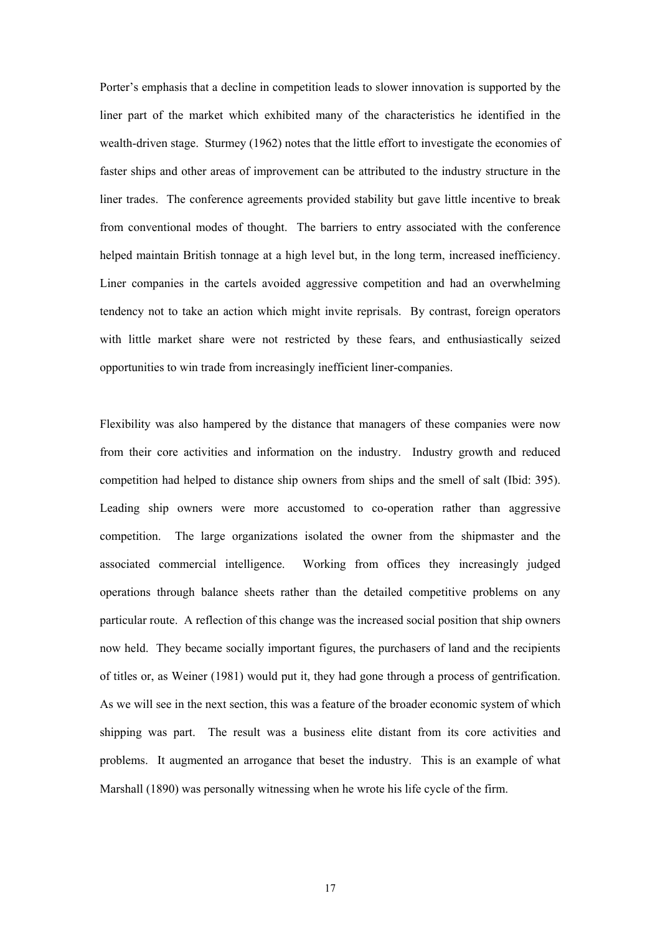Porter's emphasis that a decline in competition leads to slower innovation is supported by the liner part of the market which exhibited many of the characteristics he identified in the wealth-driven stage.Sturmey (1962) notes that the little effort to investigate the economies of faster ships and other areas of improvement can be attributed to the industry structure in the liner trades. The conference agreements provided stability but gave little incentive to break from conventional modes of thought. The barriers to entry associated with the conference helped maintain British tonnage at a high level but, in the long term, increased inefficiency. Liner companies in the cartels avoided aggressive competition and had an overwhelming tendency not to take an action which might invite reprisals. By contrast, foreign operators with little market share were not restricted by these fears, and enthusiastically seized opportunities to win trade from increasingly inefficient liner-companies.

Flexibility was also hampered by the distance that managers of these companies were now from their core activities and information on the industry. Industry growth and reduced competition had helped to distance ship owners from ships and the smell of salt (Ibid: 395). Leading ship owners were more accustomed to co-operation rather than aggressive competition. The large organizations isolated the owner from the shipmaster and the associated commercial intelligence. Working from offices they increasingly judged operations through balance sheets rather than the detailed competitive problems on any particular route. A reflection of this change was the increased social position that ship owners now held. They became socially important figures, the purchasers of land and the recipients of titles or, as Weiner (1981) would put it, they had gone through a process of gentrification. As we will see in the next section, this was a feature of the broader economic system of which shipping was part. The result was a business elite distant from its core activities and problems. It augmented an arrogance that beset the industry. This is an example of what Marshall (1890) was personally witnessing when he wrote his life cycle of the firm.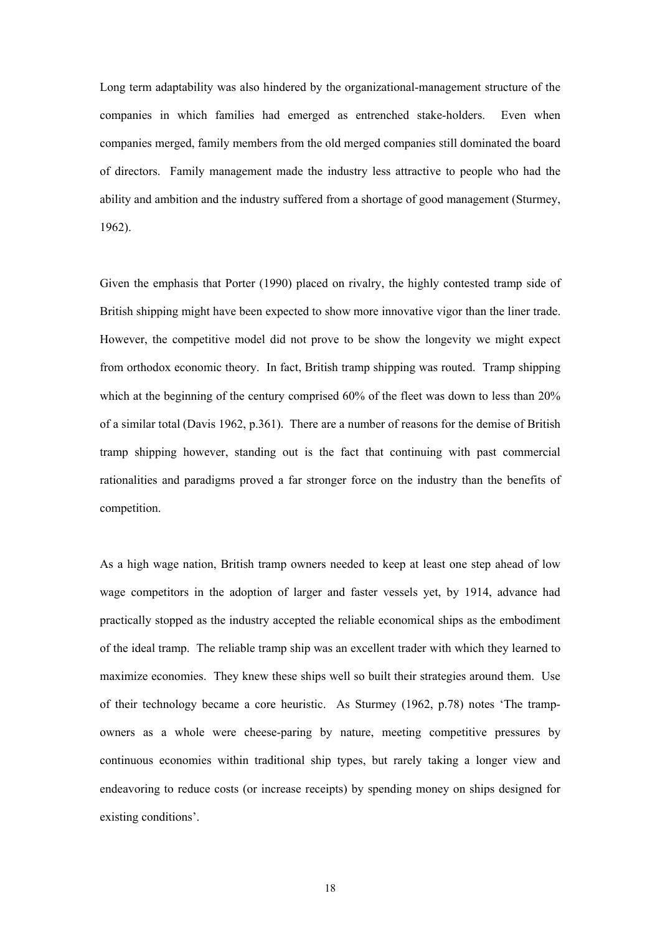Long term adaptability was also hindered by the organizational-management structure of the companies in which families had emerged as entrenched stake-holders. Even when companies merged, family members from the old merged companies still dominated the board of directors. Family management made the industry less attractive to people who had the ability and ambition and the industry suffered from a shortage of good management (Sturmey, 1962).

Given the emphasis that Porter (1990) placed on rivalry, the highly contested tramp side of British shipping might have been expected to show more innovative vigor than the liner trade. However, the competitive model did not prove to be show the longevity we might expect from orthodox economic theory. In fact, British tramp shipping was routed. Tramp shipping which at the beginning of the century comprised 60% of the fleet was down to less than 20% of a similar total (Davis 1962, p.361). There are a number of reasons for the demise of British tramp shipping however, standing out is the fact that continuing with past commercial rationalities and paradigms proved a far stronger force on the industry than the benefits of competition.

As a high wage nation, British tramp owners needed to keep at least one step ahead of low wage competitors in the adoption of larger and faster vessels yet, by 1914, advance had practically stopped as the industry accepted the reliable economical ships as the embodiment of the ideal tramp. The reliable tramp ship was an excellent trader with which they learned to maximize economies. They knew these ships well so built their strategies around them. Use of their technology became a core heuristic. As Sturmey (1962, p.78) notes 'The trampowners as a whole were cheese-paring by nature, meeting competitive pressures by continuous economies within traditional ship types, but rarely taking a longer view and endeavoring to reduce costs (or increase receipts) by spending money on ships designed for existing conditions'.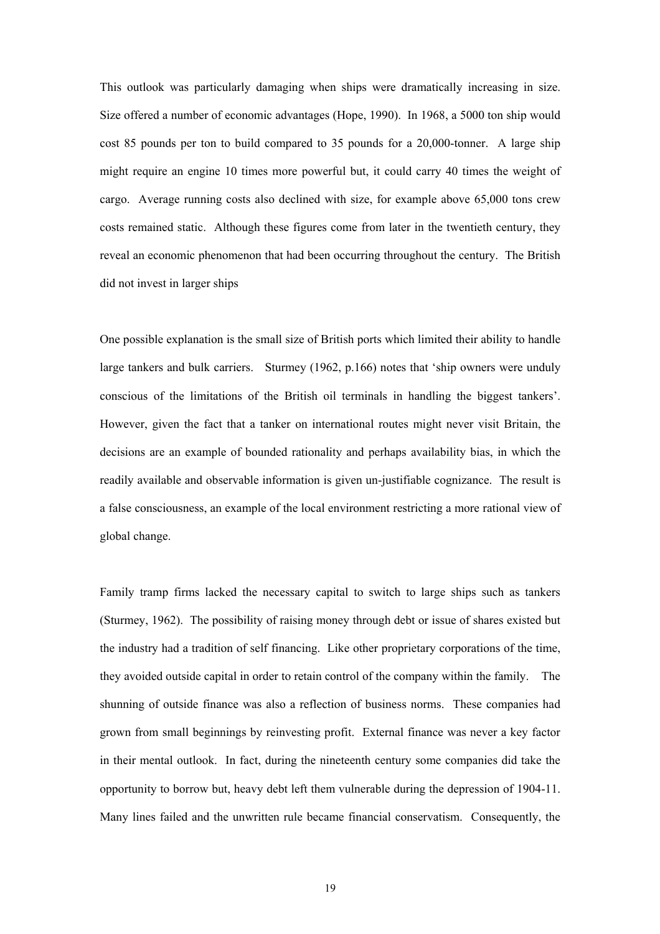This outlook was particularly damaging when ships were dramatically increasing in size. Size offered a number of economic advantages (Hope, 1990). In 1968, a 5000 ton ship would cost 85 pounds per ton to build compared to 35 pounds for a 20,000-tonner. A large ship might require an engine 10 times more powerful but, it could carry 40 times the weight of cargo. Average running costs also declined with size, for example above 65,000 tons crew costs remained static. Although these figures come from later in the twentieth century, they reveal an economic phenomenon that had been occurring throughout the century. The British did not invest in larger ships

One possible explanation is the small size of British ports which limited their ability to handle large tankers and bulk carriers. Sturmey (1962, p.166) notes that 'ship owners were unduly conscious of the limitations of the British oil terminals in handling the biggest tankers'. However, given the fact that a tanker on international routes might never visit Britain, the decisions are an example of bounded rationality and perhaps availability bias, in which the readily available and observable information is given un-justifiable cognizance. The result is a false consciousness, an example of the local environment restricting a more rational view of global change.

Family tramp firms lacked the necessary capital to switch to large ships such as tankers (Sturmey, 1962). The possibility of raising money through debt or issue of shares existed but the industry had a tradition of self financing. Like other proprietary corporations of the time, they avoided outside capital in order to retain control of the company within the family. The shunning of outside finance was also a reflection of business norms. These companies had grown from small beginnings by reinvesting profit. External finance was never a key factor in their mental outlook. In fact, during the nineteenth century some companies did take the opportunity to borrow but, heavy debt left them vulnerable during the depression of 1904-11. Many lines failed and the unwritten rule became financial conservatism. Consequently, the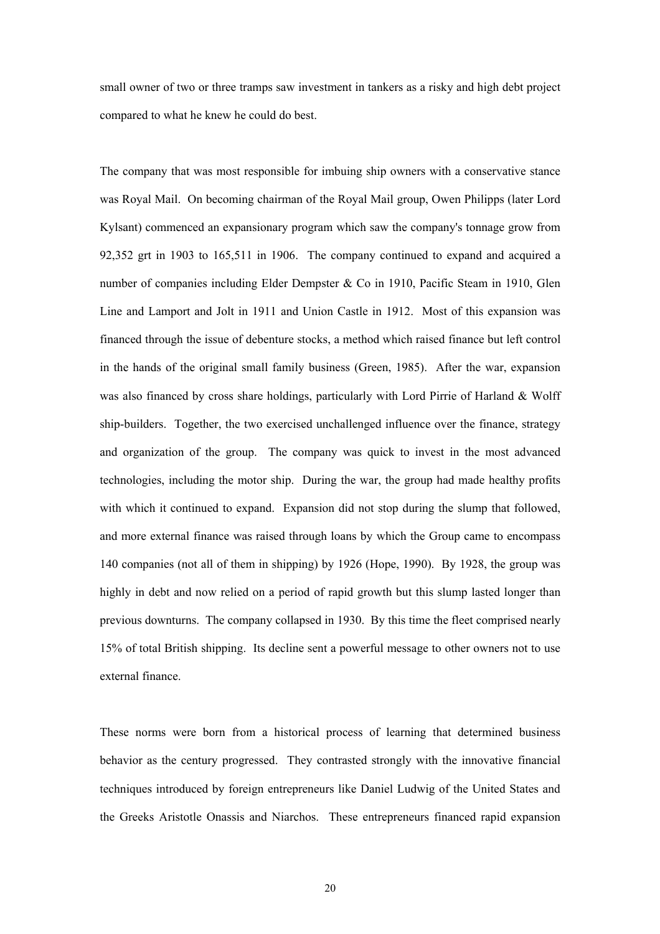small owner of two or three tramps saw investment in tankers as a risky and high debt project compared to what he knew he could do best.

The company that was most responsible for imbuing ship owners with a conservative stance was Royal Mail. On becoming chairman of the Royal Mail group, Owen Philipps (later Lord Kylsant) commenced an expansionary program which saw the company's tonnage grow from 92,352 grt in 1903 to 165,511 in 1906. The company continued to expand and acquired a number of companies including Elder Dempster & Co in 1910, Pacific Steam in 1910, Glen Line and Lamport and Jolt in 1911 and Union Castle in 1912. Most of this expansion was financed through the issue of debenture stocks, a method which raised finance but left control in the hands of the original small family business (Green, 1985). After the war, expansion was also financed by cross share holdings, particularly with Lord Pirrie of Harland & Wolff ship-builders. Together, the two exercised unchallenged influence over the finance, strategy and organization of the group. The company was quick to invest in the most advanced technologies, including the motor ship. During the war, the group had made healthy profits with which it continued to expand. Expansion did not stop during the slump that followed, and more external finance was raised through loans by which the Group came to encompass 140 companies (not all of them in shipping) by 1926 (Hope, 1990). By 1928, the group was highly in debt and now relied on a period of rapid growth but this slump lasted longer than previous downturns. The company collapsed in 1930. By this time the fleet comprised nearly 15% of total British shipping. Its decline sent a powerful message to other owners not to use external finance.

These norms were born from a historical process of learning that determined business behavior as the century progressed. They contrasted strongly with the innovative financial techniques introduced by foreign entrepreneurs like Daniel Ludwig of the United States and the Greeks Aristotle Onassis and Niarchos. These entrepreneurs financed rapid expansion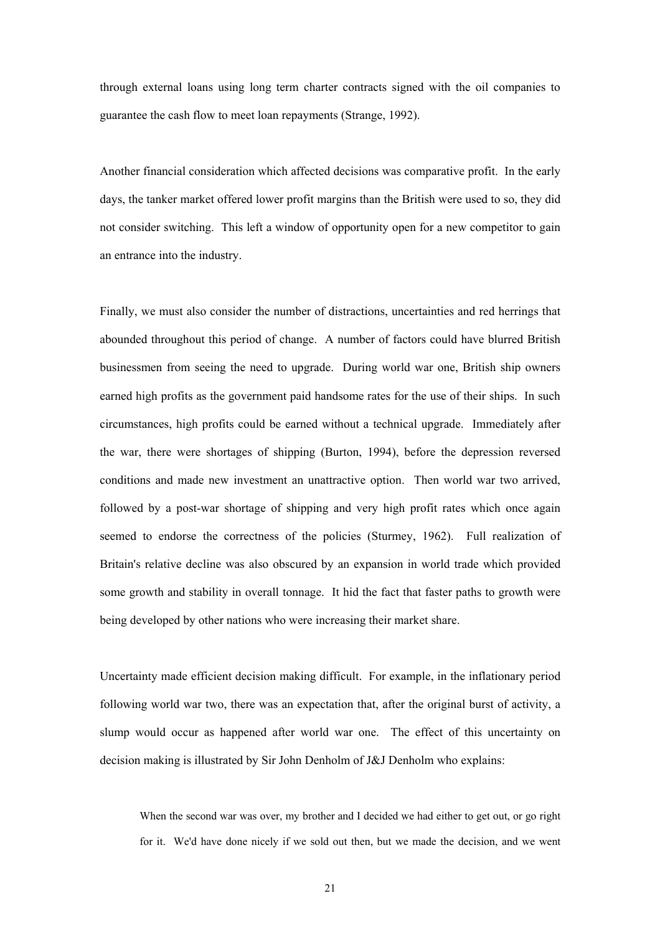through external loans using long term charter contracts signed with the oil companies to guarantee the cash flow to meet loan repayments (Strange, 1992).

Another financial consideration which affected decisions was comparative profit. In the early days, the tanker market offered lower profit margins than the British were used to so, they did not consider switching. This left a window of opportunity open for a new competitor to gain an entrance into the industry.

Finally, we must also consider the number of distractions, uncertainties and red herrings that abounded throughout this period of change. A number of factors could have blurred British businessmen from seeing the need to upgrade. During world war one, British ship owners earned high profits as the government paid handsome rates for the use of their ships. In such circumstances, high profits could be earned without a technical upgrade. Immediately after the war, there were shortages of shipping (Burton, 1994), before the depression reversed conditions and made new investment an unattractive option. Then world war two arrived, followed by a post-war shortage of shipping and very high profit rates which once again seemed to endorse the correctness of the policies (Sturmey, 1962). Full realization of Britain's relative decline was also obscured by an expansion in world trade which provided some growth and stability in overall tonnage. It hid the fact that faster paths to growth were being developed by other nations who were increasing their market share.

Uncertainty made efficient decision making difficult. For example, in the inflationary period following world war two, there was an expectation that, after the original burst of activity, a slump would occur as happened after world war one. The effect of this uncertainty on decision making is illustrated by Sir John Denholm of J&J Denholm who explains:

When the second war was over, my brother and I decided we had either to get out, or go right for it. We'd have done nicely if we sold out then, but we made the decision, and we went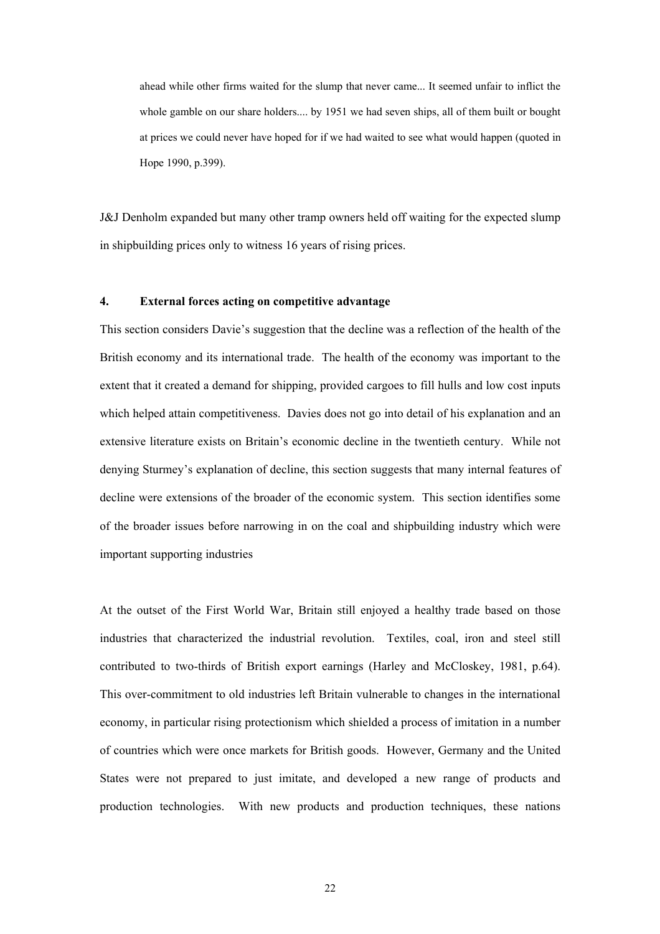ahead while other firms waited for the slump that never came... It seemed unfair to inflict the whole gamble on our share holders.... by 1951 we had seven ships, all of them built or bought at prices we could never have hoped for if we had waited to see what would happen (quoted in Hope 1990, p.399).

J&J Denholm expanded but many other tramp owners held off waiting for the expected slump in shipbuilding prices only to witness 16 years of rising prices.

# **4. External forces acting on competitive advantage**

This section considers Davie's suggestion that the decline was a reflection of the health of the British economy and its international trade. The health of the economy was important to the extent that it created a demand for shipping, provided cargoes to fill hulls and low cost inputs which helped attain competitiveness. Davies does not go into detail of his explanation and an extensive literature exists on Britain's economic decline in the twentieth century. While not denying Sturmey's explanation of decline, this section suggests that many internal features of decline were extensions of the broader of the economic system. This section identifies some of the broader issues before narrowing in on the coal and shipbuilding industry which were important supporting industries

At the outset of the First World War, Britain still enjoyed a healthy trade based on those industries that characterized the industrial revolution. Textiles, coal, iron and steel still contributed to two-thirds of British export earnings (Harley and McCloskey, 1981, p.64). This over-commitment to old industries left Britain vulnerable to changes in the international economy, in particular rising protectionism which shielded a process of imitation in a number of countries which were once markets for British goods. However, Germany and the United States were not prepared to just imitate, and developed a new range of products and production technologies. With new products and production techniques, these nations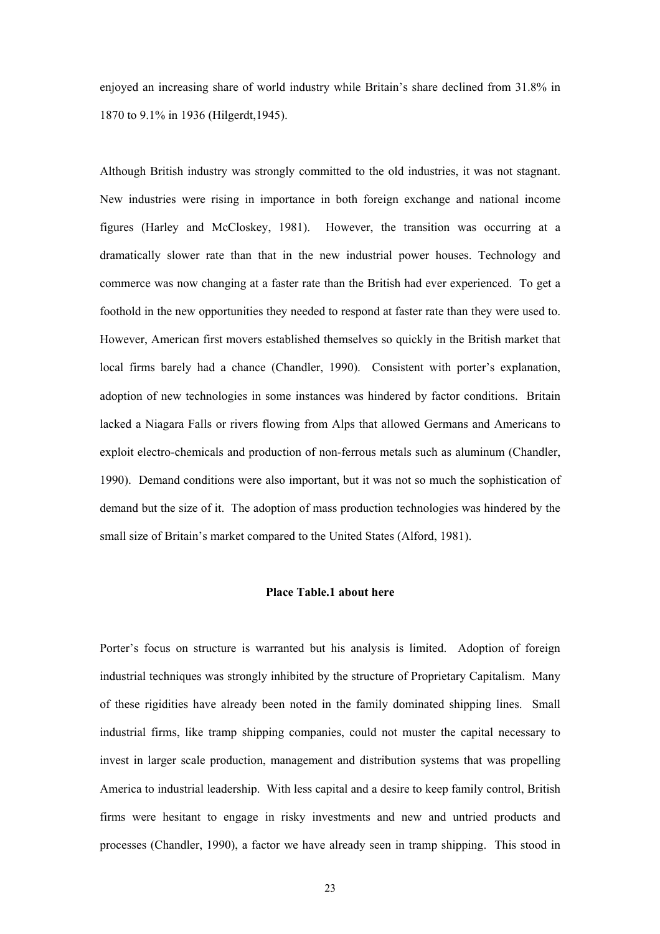enjoyed an increasing share of world industry while Britain's share declined from 31.8% in 1870 to 9.1% in 1936 (Hilgerdt,1945).

Although British industry was strongly committed to the old industries, it was not stagnant. New industries were rising in importance in both foreign exchange and national income figures (Harley and McCloskey, 1981). However, the transition was occurring at a dramatically slower rate than that in the new industrial power houses. Technology and commerce was now changing at a faster rate than the British had ever experienced. To get a foothold in the new opportunities they needed to respond at faster rate than they were used to. However, American first movers established themselves so quickly in the British market that local firms barely had a chance (Chandler, 1990). Consistent with porter's explanation, adoption of new technologies in some instances was hindered by factor conditions. Britain lacked a Niagara Falls or rivers flowing from Alps that allowed Germans and Americans to exploit electro-chemicals and production of non-ferrous metals such as aluminum (Chandler, 1990). Demand conditions were also important, but it was not so much the sophistication of demand but the size of it. The adoption of mass production technologies was hindered by the small size of Britain's market compared to the United States (Alford, 1981).

## **Place Table.1 about here**

Porter's focus on structure is warranted but his analysis is limited. Adoption of foreign industrial techniques was strongly inhibited by the structure of Proprietary Capitalism. Many of these rigidities have already been noted in the family dominated shipping lines. Small industrial firms, like tramp shipping companies, could not muster the capital necessary to invest in larger scale production, management and distribution systems that was propelling America to industrial leadership. With less capital and a desire to keep family control, British firms were hesitant to engage in risky investments and new and untried products and processes (Chandler, 1990), a factor we have already seen in tramp shipping. This stood in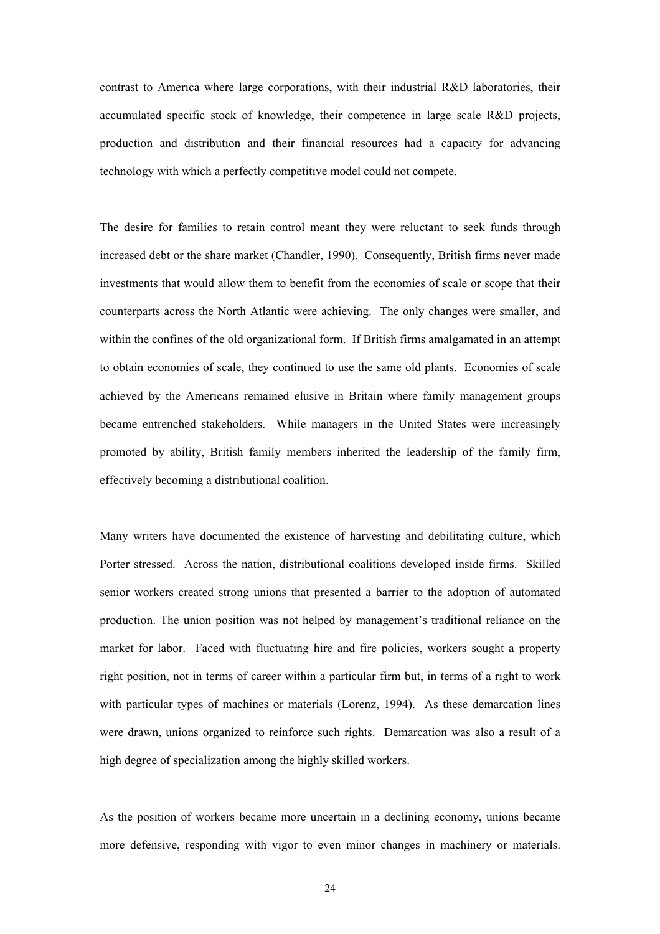contrast to America where large corporations, with their industrial R&D laboratories, their accumulated specific stock of knowledge, their competence in large scale R&D projects, production and distribution and their financial resources had a capacity for advancing technology with which a perfectly competitive model could not compete.

The desire for families to retain control meant they were reluctant to seek funds through increased debt or the share market (Chandler, 1990). Consequently, British firms never made investments that would allow them to benefit from the economies of scale or scope that their counterparts across the North Atlantic were achieving. The only changes were smaller, and within the confines of the old organizational form. If British firms amalgamated in an attempt to obtain economies of scale, they continued to use the same old plants. Economies of scale achieved by the Americans remained elusive in Britain where family management groups became entrenched stakeholders. While managers in the United States were increasingly promoted by ability, British family members inherited the leadership of the family firm, effectively becoming a distributional coalition.

Many writers have documented the existence of harvesting and debilitating culture, which Porter stressed. Across the nation, distributional coalitions developed inside firms. Skilled senior workers created strong unions that presented a barrier to the adoption of automated production. The union position was not helped by management's traditional reliance on the market for labor. Faced with fluctuating hire and fire policies, workers sought a property right position, not in terms of career within a particular firm but, in terms of a right to work with particular types of machines or materials (Lorenz, 1994). As these demarcation lines were drawn, unions organized to reinforce such rights. Demarcation was also a result of a high degree of specialization among the highly skilled workers.

As the position of workers became more uncertain in a declining economy, unions became more defensive, responding with vigor to even minor changes in machinery or materials.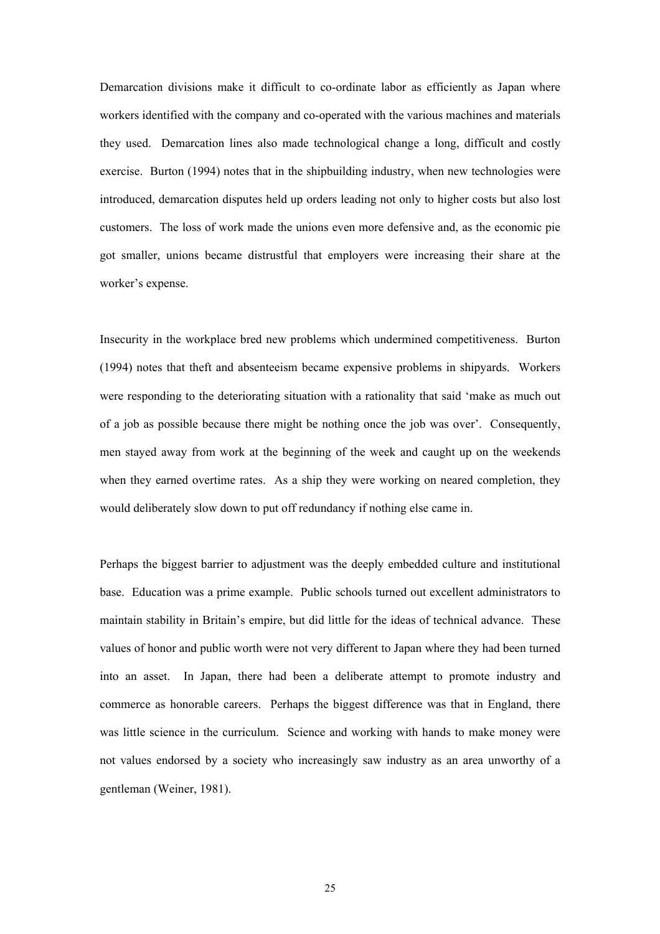Demarcation divisions make it difficult to co-ordinate labor as efficiently as Japan where workers identified with the company and co-operated with the various machines and materials they used. Demarcation lines also made technological change a long, difficult and costly exercise. Burton (1994) notes that in the shipbuilding industry, when new technologies were introduced, demarcation disputes held up orders leading not only to higher costs but also lost customers. The loss of work made the unions even more defensive and, as the economic pie got smaller, unions became distrustful that employers were increasing their share at the worker's expense.

Insecurity in the workplace bred new problems which undermined competitiveness. Burton (1994) notes that theft and absenteeism became expensive problems in shipyards. Workers were responding to the deteriorating situation with a rationality that said 'make as much out of a job as possible because there might be nothing once the job was over'. Consequently, men stayed away from work at the beginning of the week and caught up on the weekends when they earned overtime rates. As a ship they were working on neared completion, they would deliberately slow down to put off redundancy if nothing else came in.

Perhaps the biggest barrier to adjustment was the deeply embedded culture and institutional base. Education was a prime example. Public schools turned out excellent administrators to maintain stability in Britain's empire, but did little for the ideas of technical advance. These values of honor and public worth were not very different to Japan where they had been turned into an asset. In Japan, there had been a deliberate attempt to promote industry and commerce as honorable careers. Perhaps the biggest difference was that in England, there was little science in the curriculum. Science and working with hands to make money were not values endorsed by a society who increasingly saw industry as an area unworthy of a gentleman (Weiner, 1981).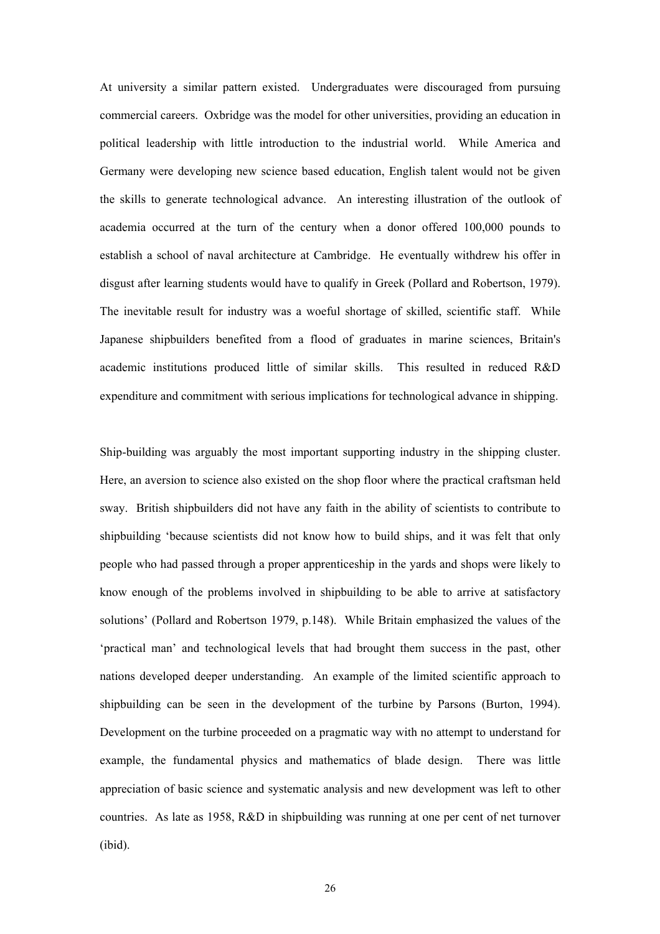At university a similar pattern existed. Undergraduates were discouraged from pursuing commercial careers. Oxbridge was the model for other universities, providing an education in political leadership with little introduction to the industrial world. While America and Germany were developing new science based education, English talent would not be given the skills to generate technological advance. An interesting illustration of the outlook of academia occurred at the turn of the century when a donor offered 100,000 pounds to establish a school of naval architecture at Cambridge. He eventually withdrew his offer in disgust after learning students would have to qualify in Greek (Pollard and Robertson, 1979). The inevitable result for industry was a woeful shortage of skilled, scientific staff. While Japanese shipbuilders benefited from a flood of graduates in marine sciences, Britain's academic institutions produced little of similar skills. This resulted in reduced R&D expenditure and commitment with serious implications for technological advance in shipping.

Ship-building was arguably the most important supporting industry in the shipping cluster. Here, an aversion to science also existed on the shop floor where the practical craftsman held sway. British shipbuilders did not have any faith in the ability of scientists to contribute to shipbuilding 'because scientists did not know how to build ships, and it was felt that only people who had passed through a proper apprenticeship in the yards and shops were likely to know enough of the problems involved in shipbuilding to be able to arrive at satisfactory solutions' (Pollard and Robertson 1979, p.148). While Britain emphasized the values of the 'practical man' and technological levels that had brought them success in the past, other nations developed deeper understanding. An example of the limited scientific approach to shipbuilding can be seen in the development of the turbine by Parsons (Burton, 1994). Development on the turbine proceeded on a pragmatic way with no attempt to understand for example, the fundamental physics and mathematics of blade design. There was little appreciation of basic science and systematic analysis and new development was left to other countries. As late as 1958, R&D in shipbuilding was running at one per cent of net turnover (ibid).

26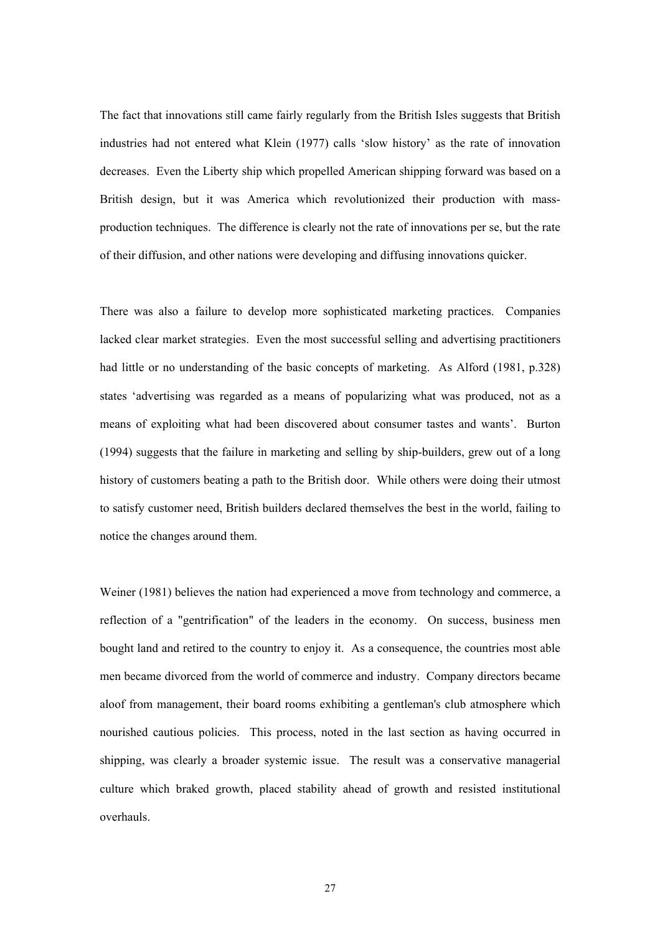The fact that innovations still came fairly regularly from the British Isles suggests that British industries had not entered what Klein (1977) calls 'slow history' as the rate of innovation decreases. Even the Liberty ship which propelled American shipping forward was based on a British design, but it was America which revolutionized their production with massproduction techniques. The difference is clearly not the rate of innovations per se, but the rate of their diffusion, and other nations were developing and diffusing innovations quicker.

There was also a failure to develop more sophisticated marketing practices. Companies lacked clear market strategies. Even the most successful selling and advertising practitioners had little or no understanding of the basic concepts of marketing. As Alford (1981, p.328) states 'advertising was regarded as a means of popularizing what was produced, not as a means of exploiting what had been discovered about consumer tastes and wants'. Burton (1994) suggests that the failure in marketing and selling by ship-builders, grew out of a long history of customers beating a path to the British door. While others were doing their utmost to satisfy customer need, British builders declared themselves the best in the world, failing to notice the changes around them.

Weiner (1981) believes the nation had experienced a move from technology and commerce, a reflection of a "gentrification" of the leaders in the economy. On success, business men bought land and retired to the country to enjoy it. As a consequence, the countries most able men became divorced from the world of commerce and industry. Company directors became aloof from management, their board rooms exhibiting a gentleman's club atmosphere which nourished cautious policies. This process, noted in the last section as having occurred in shipping, was clearly a broader systemic issue. The result was a conservative managerial culture which braked growth, placed stability ahead of growth and resisted institutional overhauls.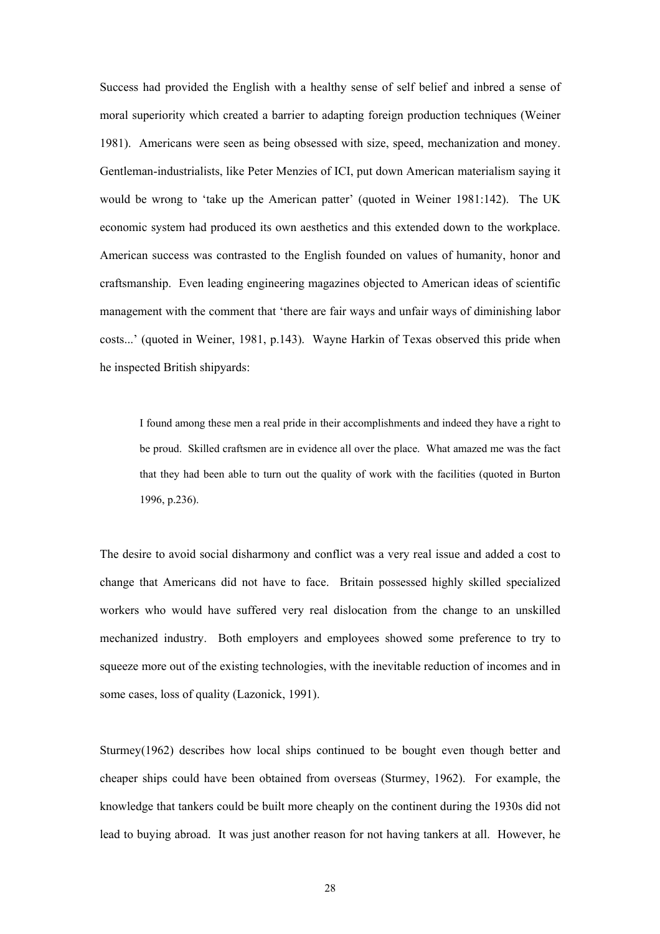Success had provided the English with a healthy sense of self belief and inbred a sense of moral superiority which created a barrier to adapting foreign production techniques (Weiner 1981). Americans were seen as being obsessed with size, speed, mechanization and money. Gentleman-industrialists, like Peter Menzies of ICI, put down American materialism saying it would be wrong to 'take up the American patter' (quoted in Weiner 1981:142). The UK economic system had produced its own aesthetics and this extended down to the workplace. American success was contrasted to the English founded on values of humanity, honor and craftsmanship. Even leading engineering magazines objected to American ideas of scientific management with the comment that 'there are fair ways and unfair ways of diminishing labor costs...' (quoted in Weiner, 1981, p.143). Wayne Harkin of Texas observed this pride when he inspected British shipyards:

I found among these men a real pride in their accomplishments and indeed they have a right to be proud. Skilled craftsmen are in evidence all over the place. What amazed me was the fact that they had been able to turn out the quality of work with the facilities (quoted in Burton 1996, p.236).

The desire to avoid social disharmony and conflict was a very real issue and added a cost to change that Americans did not have to face. Britain possessed highly skilled specialized workers who would have suffered very real dislocation from the change to an unskilled mechanized industry. Both employers and employees showed some preference to try to squeeze more out of the existing technologies, with the inevitable reduction of incomes and in some cases, loss of quality (Lazonick, 1991).

Sturmey(1962) describes how local ships continued to be bought even though better and cheaper ships could have been obtained from overseas (Sturmey, 1962). For example, the knowledge that tankers could be built more cheaply on the continent during the 1930s did not lead to buying abroad. It was just another reason for not having tankers at all. However, he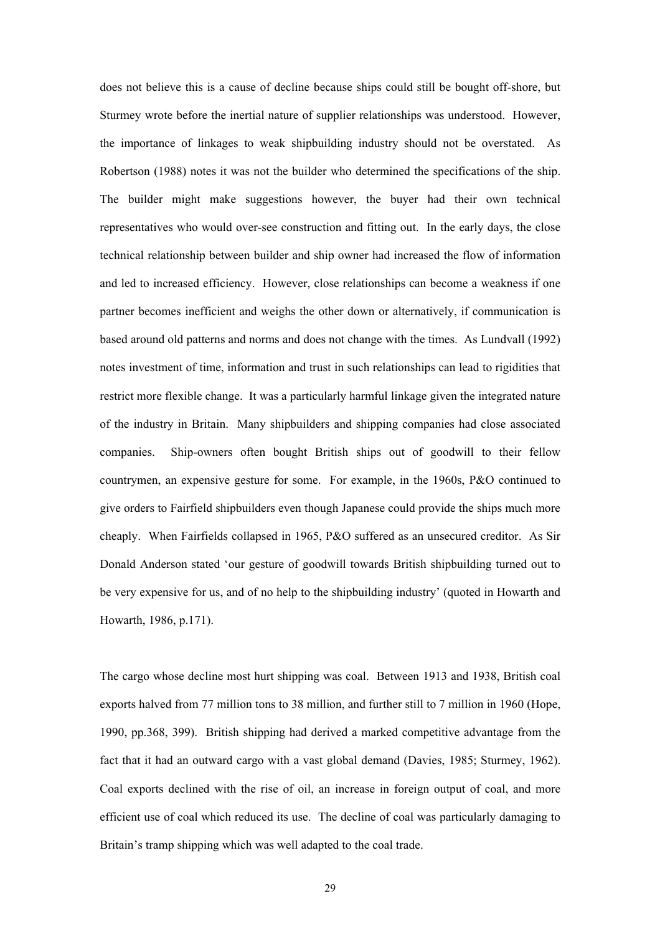does not believe this is a cause of decline because ships could still be bought off-shore, but Sturmey wrote before the inertial nature of supplier relationships was understood. However, the importance of linkages to weak shipbuilding industry should not be overstated. As Robertson (1988) notes it was not the builder who determined the specifications of the ship. The builder might make suggestions however, the buyer had their own technical representatives who would over-see construction and fitting out. In the early days, the close technical relationship between builder and ship owner had increased the flow of information and led to increased efficiency. However, close relationships can become a weakness if one partner becomes inefficient and weighs the other down or alternatively, if communication is based around old patterns and norms and does not change with the times. As Lundvall (1992) notes investment of time, information and trust in such relationships can lead to rigidities that restrict more flexible change. It was a particularly harmful linkage given the integrated nature of the industry in Britain. Many shipbuilders and shipping companies had close associated companies. Ship-owners often bought British ships out of goodwill to their fellow countrymen, an expensive gesture for some. For example, in the 1960s, P&O continued to give orders to Fairfield shipbuilders even though Japanese could provide the ships much more cheaply. When Fairfields collapsed in 1965, P&O suffered as an unsecured creditor. As Sir Donald Anderson stated 'our gesture of goodwill towards British shipbuilding turned out to be very expensive for us, and of no help to the shipbuilding industry' (quoted in Howarth and Howarth, 1986, p.171).

The cargo whose decline most hurt shipping was coal. Between 1913 and 1938, British coal exports halved from 77 million tons to 38 million, and further still to 7 million in 1960 (Hope, 1990, pp.368, 399). British shipping had derived a marked competitive advantage from the fact that it had an outward cargo with a vast global demand (Davies, 1985; Sturmey, 1962). Coal exports declined with the rise of oil, an increase in foreign output of coal, and more efficient use of coal which reduced its use. The decline of coal was particularly damaging to Britain's tramp shipping which was well adapted to the coal trade.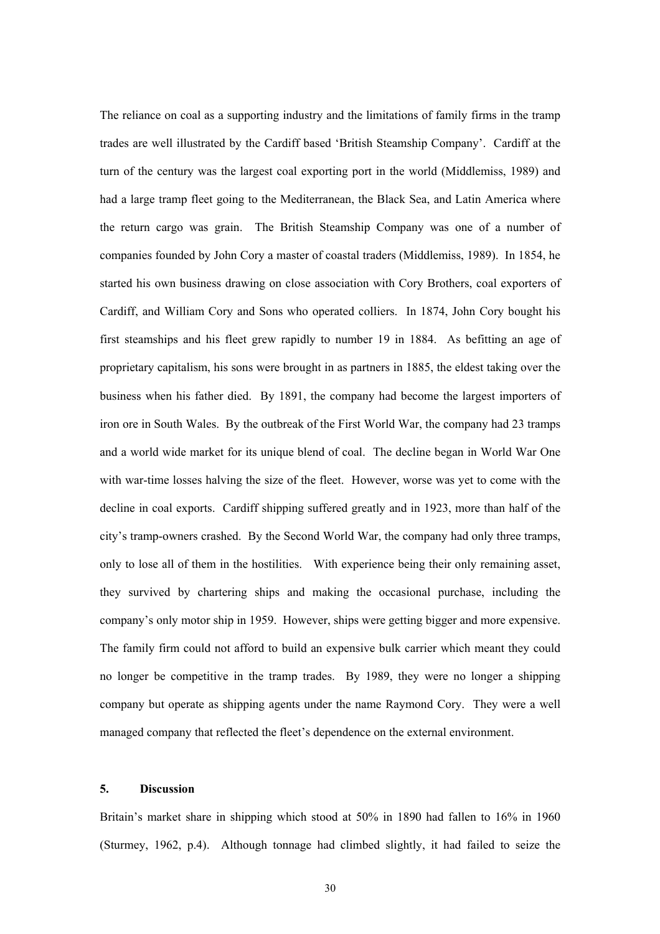The reliance on coal as a supporting industry and the limitations of family firms in the tramp trades are well illustrated by the Cardiff based 'British Steamship Company'. Cardiff at the turn of the century was the largest coal exporting port in the world (Middlemiss, 1989) and had a large tramp fleet going to the Mediterranean, the Black Sea, and Latin America where the return cargo was grain. The British Steamship Company was one of a number of companies founded by John Cory a master of coastal traders (Middlemiss, 1989). In 1854, he started his own business drawing on close association with Cory Brothers, coal exporters of Cardiff, and William Cory and Sons who operated colliers. In 1874, John Cory bought his first steamships and his fleet grew rapidly to number 19 in 1884. As befitting an age of proprietary capitalism, his sons were brought in as partners in 1885, the eldest taking over the business when his father died. By 1891, the company had become the largest importers of iron ore in South Wales. By the outbreak of the First World War, the company had 23 tramps and a world wide market for its unique blend of coal. The decline began in World War One with war-time losses halving the size of the fleet. However, worse was yet to come with the decline in coal exports. Cardiff shipping suffered greatly and in 1923, more than half of the city's tramp-owners crashed. By the Second World War, the company had only three tramps, only to lose all of them in the hostilities. With experience being their only remaining asset, they survived by chartering ships and making the occasional purchase, including the company's only motor ship in 1959. However, ships were getting bigger and more expensive. The family firm could not afford to build an expensive bulk carrier which meant they could no longer be competitive in the tramp trades. By 1989, they were no longer a shipping company but operate as shipping agents under the name Raymond Cory. They were a well managed company that reflected the fleet's dependence on the external environment.

# **5. Discussion**

Britain's market share in shipping which stood at 50% in 1890 had fallen to 16% in 1960 (Sturmey, 1962, p.4). Although tonnage had climbed slightly, it had failed to seize the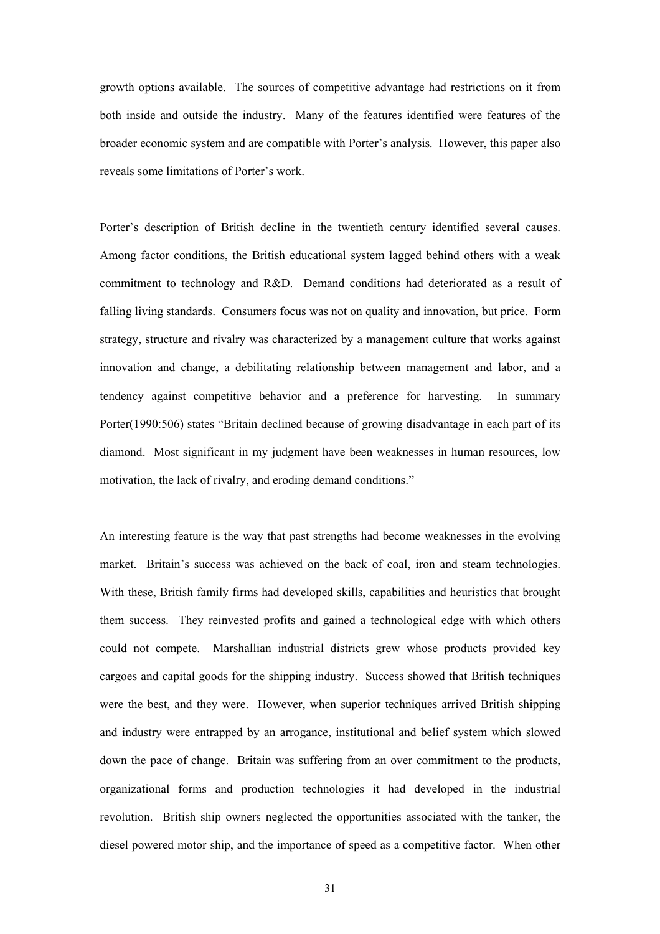growth options available. The sources of competitive advantage had restrictions on it from both inside and outside the industry. Many of the features identified were features of the broader economic system and are compatible with Porter's analysis. However, this paper also reveals some limitations of Porter's work.

Porter's description of British decline in the twentieth century identified several causes. Among factor conditions, the British educational system lagged behind others with a weak commitment to technology and R&D. Demand conditions had deteriorated as a result of falling living standards. Consumers focus was not on quality and innovation, but price. Form strategy, structure and rivalry was characterized by a management culture that works against innovation and change, a debilitating relationship between management and labor, and a tendency against competitive behavior and a preference for harvesting. In summary Porter(1990:506) states "Britain declined because of growing disadvantage in each part of its diamond. Most significant in my judgment have been weaknesses in human resources, low motivation, the lack of rivalry, and eroding demand conditions."

An interesting feature is the way that past strengths had become weaknesses in the evolving market. Britain's success was achieved on the back of coal, iron and steam technologies. With these, British family firms had developed skills, capabilities and heuristics that brought them success. They reinvested profits and gained a technological edge with which others could not compete. Marshallian industrial districts grew whose products provided key cargoes and capital goods for the shipping industry. Success showed that British techniques were the best, and they were. However, when superior techniques arrived British shipping and industry were entrapped by an arrogance, institutional and belief system which slowed down the pace of change. Britain was suffering from an over commitment to the products, organizational forms and production technologies it had developed in the industrial revolution. British ship owners neglected the opportunities associated with the tanker, the diesel powered motor ship, and the importance of speed as a competitive factor. When other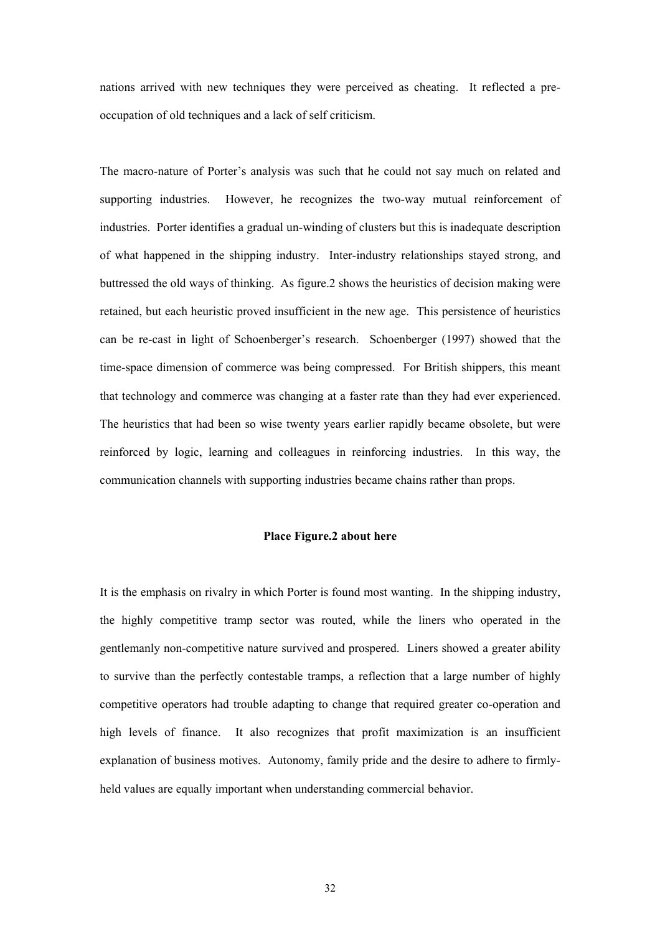nations arrived with new techniques they were perceived as cheating. It reflected a preoccupation of old techniques and a lack of self criticism.

The macro-nature of Porter's analysis was such that he could not say much on related and supporting industries. However, he recognizes the two-way mutual reinforcement of industries. Porter identifies a gradual un-winding of clusters but this is inadequate description of what happened in the shipping industry. Inter-industry relationships stayed strong, and buttressed the old ways of thinking. As figure.2 shows the heuristics of decision making were retained, but each heuristic proved insufficient in the new age. This persistence of heuristics can be re-cast in light of Schoenberger's research. Schoenberger (1997) showed that the time-space dimension of commerce was being compressed. For British shippers, this meant that technology and commerce was changing at a faster rate than they had ever experienced. The heuristics that had been so wise twenty years earlier rapidly became obsolete, but were reinforced by logic, learning and colleagues in reinforcing industries. In this way, the communication channels with supporting industries became chains rather than props.

#### **Place Figure.2 about here**

It is the emphasis on rivalry in which Porter is found most wanting. In the shipping industry, the highly competitive tramp sector was routed, while the liners who operated in the gentlemanly non-competitive nature survived and prospered. Liners showed a greater ability to survive than the perfectly contestable tramps, a reflection that a large number of highly competitive operators had trouble adapting to change that required greater co-operation and high levels of finance. It also recognizes that profit maximization is an insufficient explanation of business motives. Autonomy, family pride and the desire to adhere to firmlyheld values are equally important when understanding commercial behavior.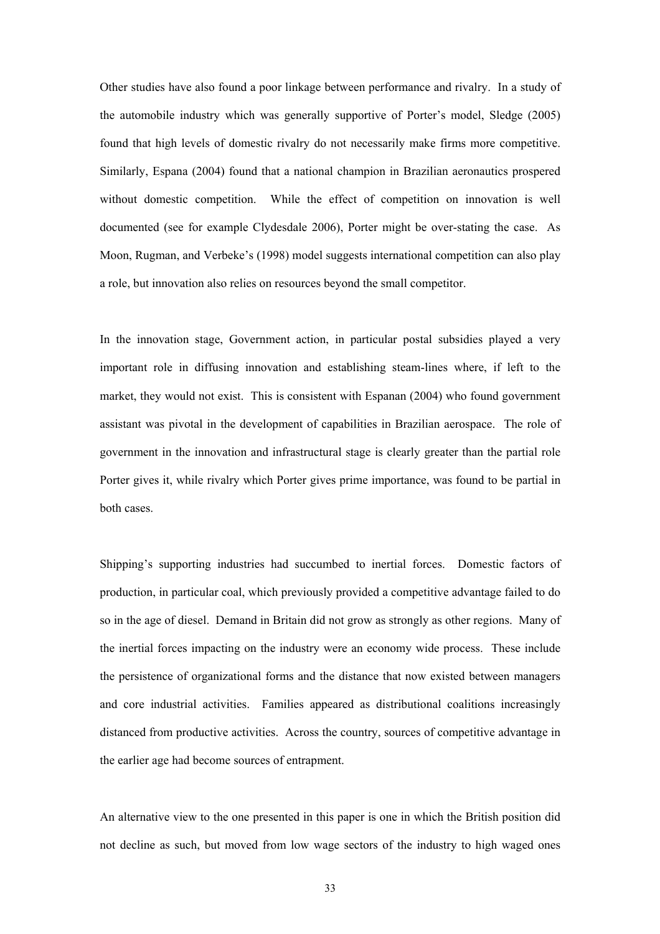Other studies have also found a poor linkage between performance and rivalry. In a study of the automobile industry which was generally supportive of Porter's model, Sledge (2005) found that high levels of domestic rivalry do not necessarily make firms more competitive. Similarly, Espana (2004) found that a national champion in Brazilian aeronautics prospered without domestic competition. While the effect of competition on innovation is well documented (see for example Clydesdale 2006), Porter might be over-stating the case. As Moon, Rugman, and Verbeke's (1998) model suggests international competition can also play a role, but innovation also relies on resources beyond the small competitor.

In the innovation stage, Government action, in particular postal subsidies played a very important role in diffusing innovation and establishing steam-lines where, if left to the market, they would not exist. This is consistent with Espanan (2004) who found government assistant was pivotal in the development of capabilities in Brazilian aerospace. The role of government in the innovation and infrastructural stage is clearly greater than the partial role Porter gives it, while rivalry which Porter gives prime importance, was found to be partial in both cases.

Shipping's supporting industries had succumbed to inertial forces. Domestic factors of production, in particular coal, which previously provided a competitive advantage failed to do so in the age of diesel. Demand in Britain did not grow as strongly as other regions. Many of the inertial forces impacting on the industry were an economy wide process. These include the persistence of organizational forms and the distance that now existed between managers and core industrial activities. Families appeared as distributional coalitions increasingly distanced from productive activities. Across the country, sources of competitive advantage in the earlier age had become sources of entrapment.

An alternative view to the one presented in this paper is one in which the British position did not decline as such, but moved from low wage sectors of the industry to high waged ones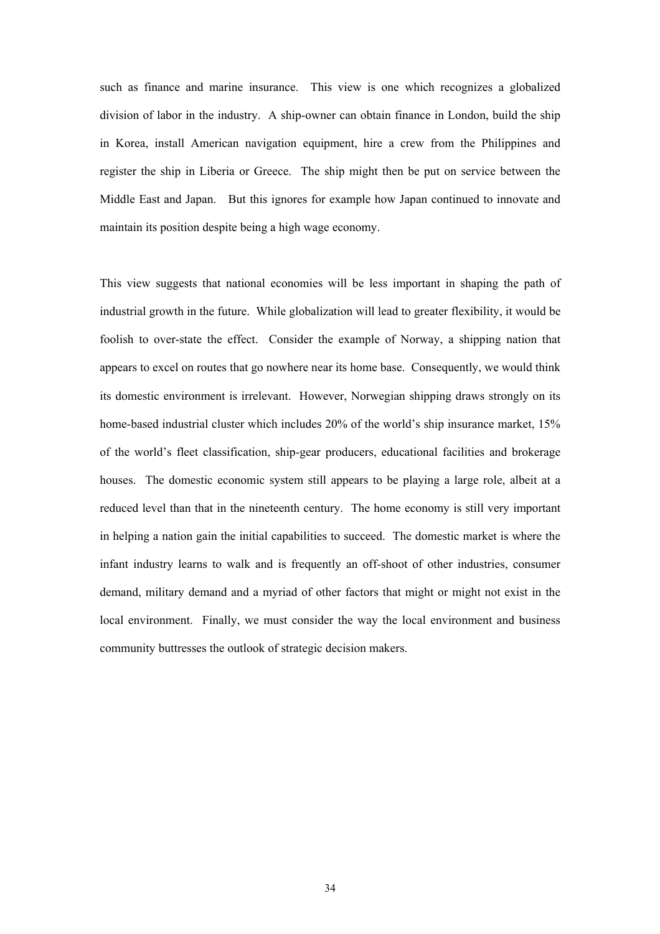such as finance and marine insurance. This view is one which recognizes a globalized division of labor in the industry. A ship-owner can obtain finance in London, build the ship in Korea, install American navigation equipment, hire a crew from the Philippines and register the ship in Liberia or Greece. The ship might then be put on service between the Middle East and Japan. But this ignores for example how Japan continued to innovate and maintain its position despite being a high wage economy.

This view suggests that national economies will be less important in shaping the path of industrial growth in the future. While globalization will lead to greater flexibility, it would be foolish to over-state the effect. Consider the example of Norway, a shipping nation that appears to excel on routes that go nowhere near its home base. Consequently, we would think its domestic environment is irrelevant. However, Norwegian shipping draws strongly on its home-based industrial cluster which includes 20% of the world's ship insurance market, 15% of the world's fleet classification, ship-gear producers, educational facilities and brokerage houses. The domestic economic system still appears to be playing a large role, albeit at a reduced level than that in the nineteenth century. The home economy is still very important in helping a nation gain the initial capabilities to succeed. The domestic market is where the infant industry learns to walk and is frequently an off-shoot of other industries, consumer demand, military demand and a myriad of other factors that might or might not exist in the local environment. Finally, we must consider the way the local environment and business community buttresses the outlook of strategic decision makers.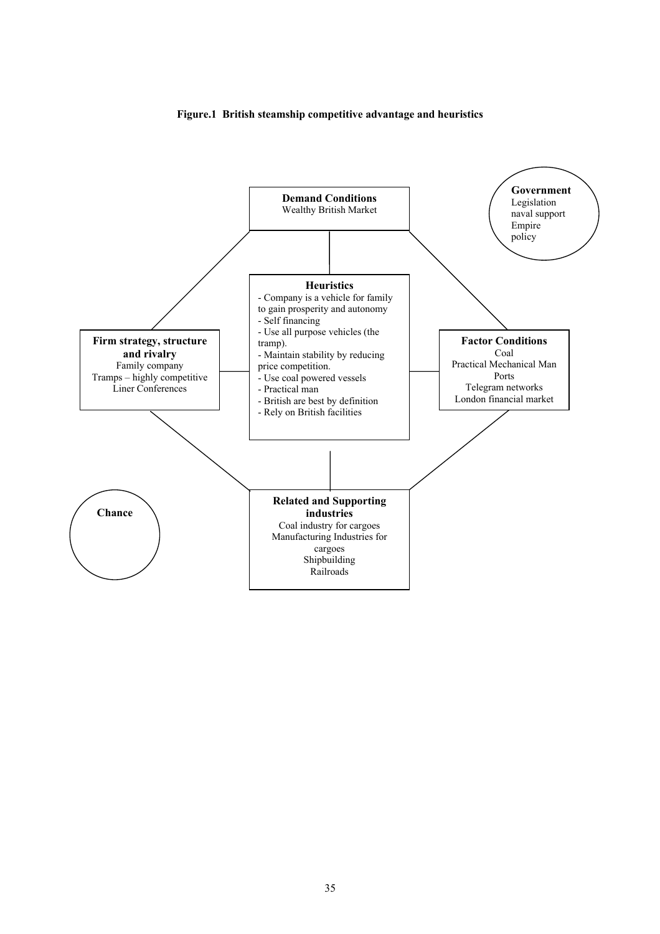

#### **Figure.1 British steamship competitive advantage and heuristics**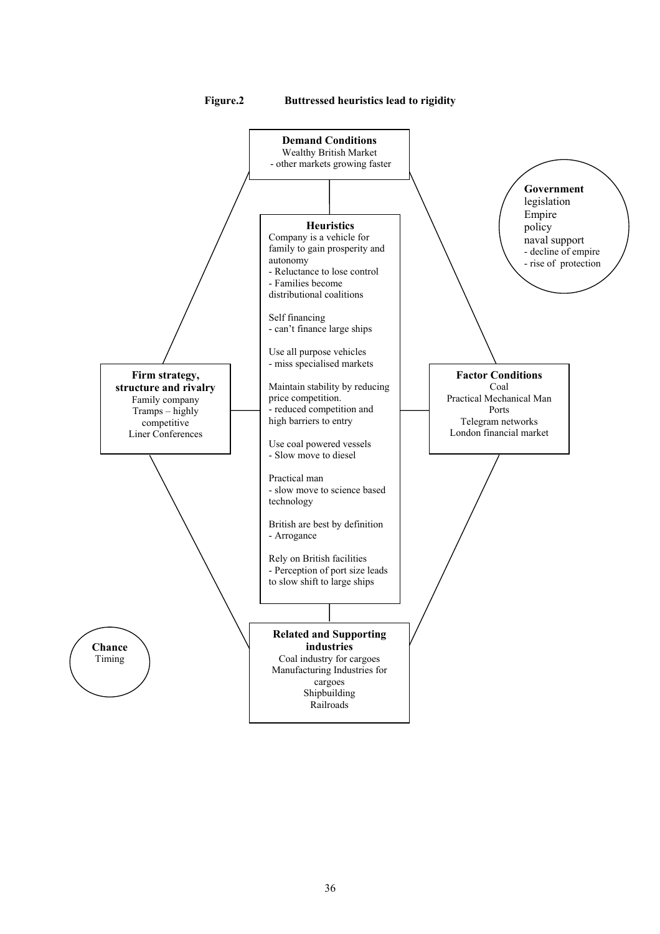

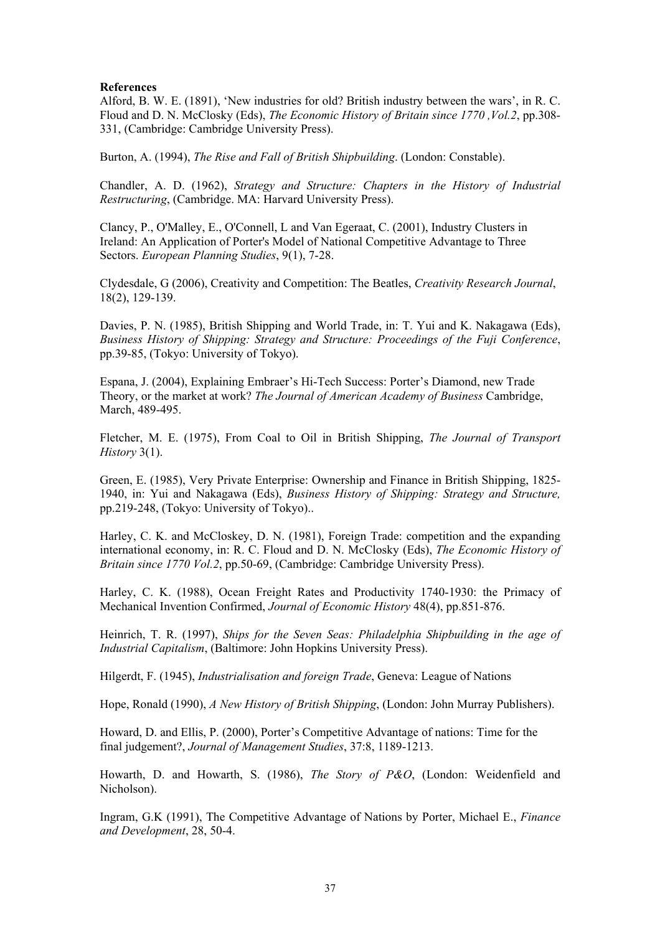## **References**

Alford, B. W. E. (1891), 'New industries for old? British industry between the wars', in R. C. Floud and D. N. McClosky (Eds), *The Economic History of Britain since 1770 ,Vol.2*, pp.308- 331, (Cambridge: Cambridge University Press).

Burton, A. (1994), *The Rise and Fall of British Shipbuilding*. (London: Constable).

Chandler, A. D. (1962), *Strategy and Structure: Chapters in the History of Industrial Restructuring*, (Cambridge. MA: Harvard University Press).

Clancy, P., O'Malley, E., O'Connell, L and Van Egeraat, C. (2001), Industry Clusters in Ireland: An Application of Porter's Model of National Competitive Advantage to Three Sectors. *European Planning Studies*, 9(1), 7-28.

Clydesdale, G (2006), Creativity and Competition: The Beatles, *Creativity Research Journal*, 18(2), 129-139.

Davies, P. N. (1985), British Shipping and World Trade, in: T. Yui and K. Nakagawa (Eds), *Business History of Shipping: Strategy and Structure: Proceedings of the Fuji Conference*, pp.39-85, (Tokyo: University of Tokyo).

Espana, J. (2004), Explaining Embraer's Hi-Tech Success: Porter's Diamond, new Trade Theory, or the market at work? *The Journal of American Academy of Business* Cambridge, March, 489-495.

Fletcher, M. E. (1975), From Coal to Oil in British Shipping, *The Journal of Transport History* 3(1).

Green, E. (1985), Very Private Enterprise: Ownership and Finance in British Shipping, 1825- 1940, in: Yui and Nakagawa (Eds), *Business History of Shipping: Strategy and Structure,* pp.219-248, (Tokyo: University of Tokyo)..

Harley, C. K. and McCloskey, D. N. (1981), Foreign Trade: competition and the expanding international economy, in: R. C. Floud and D. N. McClosky (Eds), *The Economic History of Britain since 1770 Vol.2*, pp.50-69, (Cambridge: Cambridge University Press).

Harley, C. K. (1988), Ocean Freight Rates and Productivity 1740-1930: the Primacy of Mechanical Invention Confirmed, *Journal of Economic History* 48(4), pp.851-876.

Heinrich, T. R. (1997), *Ships for the Seven Seas: Philadelphia Shipbuilding in the age of Industrial Capitalism*, (Baltimore: John Hopkins University Press).

Hilgerdt, F. (1945), *Industrialisation and foreign Trade*, Geneva: League of Nations

Hope, Ronald (1990), *A New History of British Shipping*, (London: John Murray Publishers).

Howard, D. and Ellis, P. (2000), Porter's Competitive Advantage of nations: Time for the final judgement?, *Journal of Management Studies*, 37:8, 1189-1213.

Howarth, D. and Howarth, S. (1986), *The Story of P&O*, (London: Weidenfield and Nicholson).

Ingram, G.K (1991), The Competitive Advantage of Nations by Porter, Michael E., *Finance and Development*, 28, 50-4.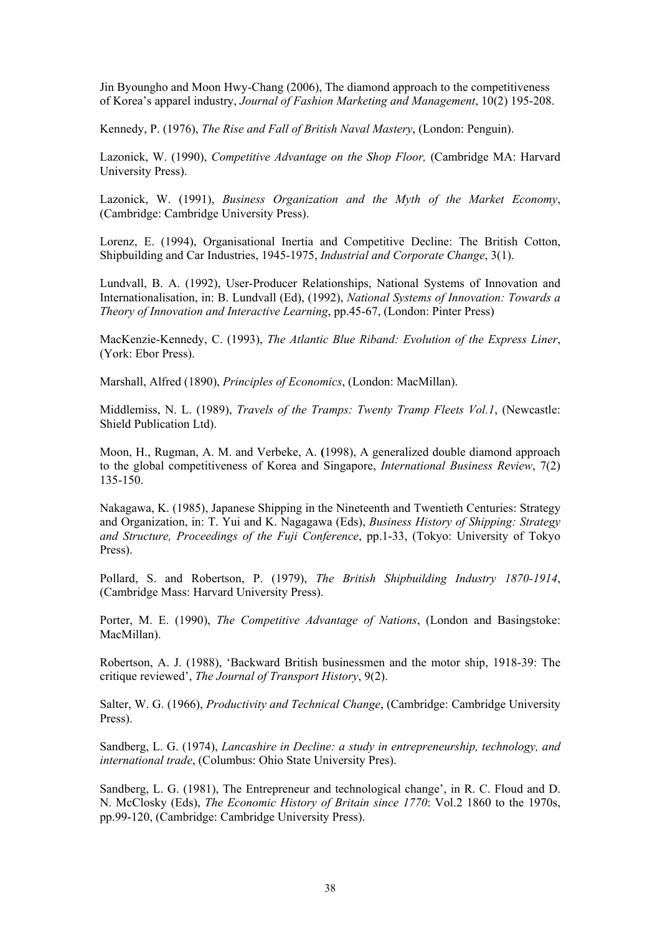Jin Byoungho and Moon Hwy-Chang (2006), The diamond approach to the competitiveness of Korea's apparel industry, *Journal of Fashion Marketing and Management*, 10(2) 195-208.

Kennedy, P. (1976), *The Rise and Fall of British Naval Mastery*, (London: Penguin).

Lazonick, W. (1990), *Competitive Advantage on the Shop Floor,* (Cambridge MA: Harvard University Press).

Lazonick, W. (1991), *Business Organization and the Myth of the Market Economy*, (Cambridge: Cambridge University Press).

Lorenz, E. (1994), Organisational Inertia and Competitive Decline: The British Cotton, Shipbuilding and Car Industries, 1945-1975, *Industrial and Corporate Change*, 3(1).

Lundvall, B. A. (1992), User-Producer Relationships, National Systems of Innovation and Internationalisation, in: B. Lundvall (Ed), (1992), *National Systems of Innovation: Towards a Theory of Innovation and Interactive Learning*, pp.45-67, (London: Pinter Press)

MacKenzie-Kennedy, C. (1993), *The Atlantic Blue Riband: Evolution of the Express Liner*, (York: Ebor Press).

Marshall, Alfred (1890), *Principles of Economics*, (London: MacMillan).

Middlemiss, N. L. (1989), *Travels of the Tramps: Twenty Tramp Fleets Vol.1*, (Newcastle: Shield Publication Ltd).

Moon, H., Rugman, A. M. and Verbeke, A. **(**1998), A generalized double diamond approach to the global competitiveness of Korea and Singapore, *International Business Review*, 7(2) 135-150.

Nakagawa, K. (1985), Japanese Shipping in the Nineteenth and Twentieth Centuries: Strategy and Organization, in: T. Yui and K. Nagagawa (Eds), *Business History of Shipping: Strategy and Structure, Proceedings of the Fuji Conference*, pp.1-33, (Tokyo: University of Tokyo Press).

Pollard, S. and Robertson, P. (1979), *The British Shipbuilding Industry 1870-1914*, (Cambridge Mass: Harvard University Press).

Porter, M. E. (1990), *The Competitive Advantage of Nations*, (London and Basingstoke: MacMillan).

Robertson, A. J. (1988), 'Backward British businessmen and the motor ship, 1918-39: The critique reviewed', *The Journal of Transport History*, 9(2).

Salter, W. G. (1966), *Productivity and Technical Change*, (Cambridge: Cambridge University Press).

Sandberg, L. G. (1974), *Lancashire in Decline: a study in entrepreneurship, technology, and international trade*, (Columbus: Ohio State University Pres).

Sandberg, L. G. (1981), The Entrepreneur and technological change', in R. C. Floud and D. N. McClosky (Eds), *The Economic History of Britain since 1770*: Vol.2 1860 to the 1970s, pp.99-120, (Cambridge: Cambridge University Press).